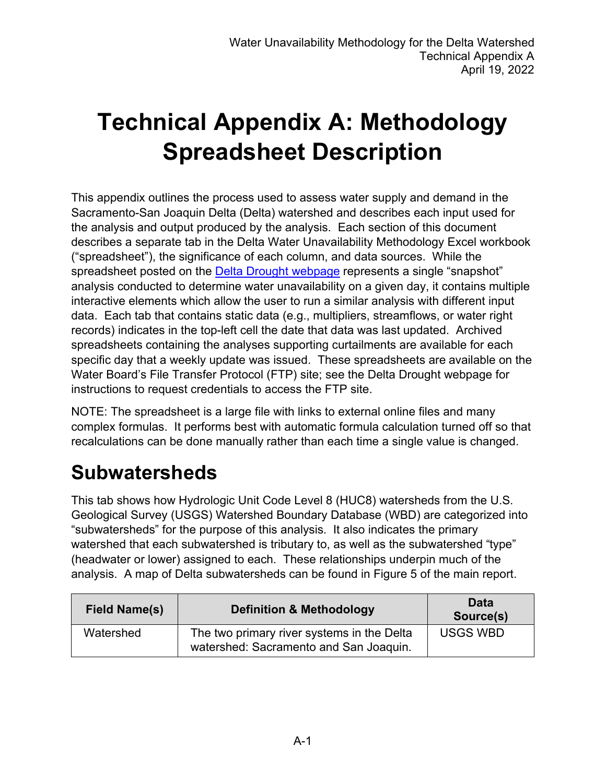# **Technical Appendix A: Methodology Spreadsheet Description**

This appendix outlines the process used to assess water supply and demand in the Sacramento-San Joaquin Delta (Delta) watershed and describes each input used for the analysis and output produced by the analysis. Each section of this document describes a separate tab in the Delta Water Unavailability Methodology Excel workbook ("spreadsheet"), the significance of each column, and data sources. While the spreadsheet posted on the [Delta Drought webpage](https://www.waterboards.ca.gov/drought/delta/) represents a single "snapshot" analysis conducted to determine water unavailability on a given day, it contains multiple interactive elements which allow the user to run a similar analysis with different input data. Each tab that contains static data (e.g., multipliers, streamflows, or water right records) indicates in the top-left cell the date that data was last updated. Archived spreadsheets containing the analyses supporting curtailments are available for each specific day that a weekly update was issued. These spreadsheets are available on the Water Board's File Transfer Protocol (FTP) site; see the Delta Drought webpage for instructions to request credentials to access the FTP site.

NOTE: The spreadsheet is a large file with links to external online files and many complex formulas. It performs best with automatic formula calculation turned off so that recalculations can be done manually rather than each time a single value is changed.

#### **Subwatersheds**

This tab shows how Hydrologic Unit Code Level 8 (HUC8) watersheds from the U.S. Geological Survey (USGS) Watershed Boundary Database (WBD) are categorized into "subwatersheds" for the purpose of this analysis. It also indicates the primary watershed that each subwatershed is tributary to, as well as the subwatershed "type" (headwater or lower) assigned to each. These relationships underpin much of the analysis. A map of Delta subwatersheds can be found in Figure 5 of the main report.

| <b>Field Name(s)</b> | <b>Definition &amp; Methodology</b>                                                  | <b>Data</b><br>Source(s) |
|----------------------|--------------------------------------------------------------------------------------|--------------------------|
| Watershed            | The two primary river systems in the Delta<br>watershed: Sacramento and San Joaquin. | <b>USGS WBD</b>          |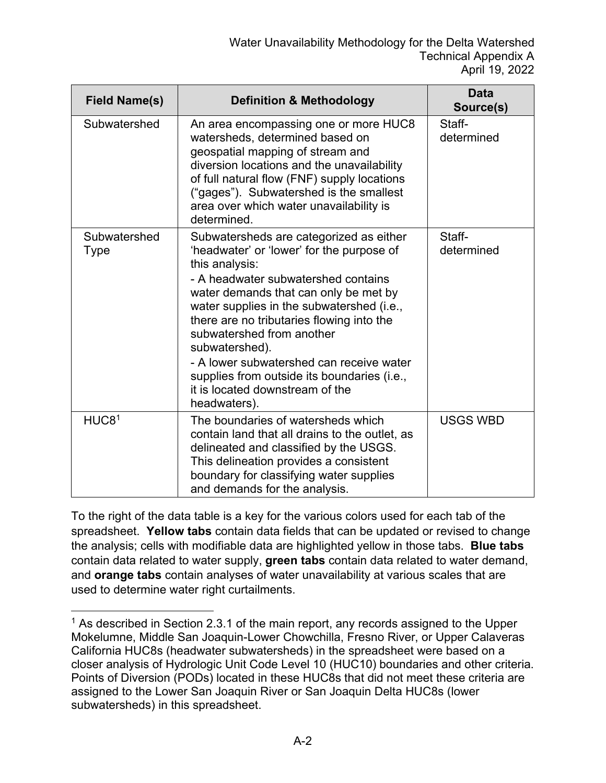| <b>Field Name(s)</b>        | <b>Definition &amp; Methodology</b>                                                                                                                                                                                                                                                                                                                                                                                                                                           | <b>Data</b><br>Source(s) |
|-----------------------------|-------------------------------------------------------------------------------------------------------------------------------------------------------------------------------------------------------------------------------------------------------------------------------------------------------------------------------------------------------------------------------------------------------------------------------------------------------------------------------|--------------------------|
| Subwatershed                | An area encompassing one or more HUC8<br>watersheds, determined based on<br>geospatial mapping of stream and<br>diversion locations and the unavailability<br>of full natural flow (FNF) supply locations<br>("gages"). Subwatershed is the smallest<br>area over which water unavailability is<br>determined.                                                                                                                                                                | Staff-<br>determined     |
| Subwatershed<br><b>Type</b> | Subwatersheds are categorized as either<br>'headwater' or 'lower' for the purpose of<br>this analysis:<br>- A headwater subwatershed contains<br>water demands that can only be met by<br>water supplies in the subwatershed (i.e.,<br>there are no tributaries flowing into the<br>subwatershed from another<br>subwatershed).<br>- A lower subwatershed can receive water<br>supplies from outside its boundaries (i.e.,<br>it is located downstream of the<br>headwaters). | Staff-<br>determined     |
| HUC8 <sup>1</sup>           | The boundaries of watersheds which<br>contain land that all drains to the outlet, as<br>delineated and classified by the USGS.<br>This delineation provides a consistent<br>boundary for classifying water supplies<br>and demands for the analysis.                                                                                                                                                                                                                          | <b>USGS WBD</b>          |

To the right of the data table is a key for the various colors used for each tab of the spreadsheet. **Yellow tabs** contain data fields that can be updated or revised to change the analysis; cells with modifiable data are highlighted yellow in those tabs. **Blue tabs** contain data related to water supply, **green tabs** contain data related to water demand, and **orange tabs** contain analyses of water unavailability at various scales that are used to determine water right curtailments.

<span id="page-1-0"></span><sup>&</sup>lt;sup>1</sup> As described in Section 2.3.1 of the main report, any records assigned to the Upper Mokelumne, Middle San Joaquin-Lower Chowchilla, Fresno River, or Upper Calaveras California HUC8s (headwater subwatersheds) in the spreadsheet were based on a closer analysis of Hydrologic Unit Code Level 10 (HUC10) boundaries and other criteria. Points of Diversion (PODs) located in these HUC8s that did not meet these criteria are assigned to the Lower San Joaquin River or San Joaquin Delta HUC8s (lower subwatersheds) in this spreadsheet.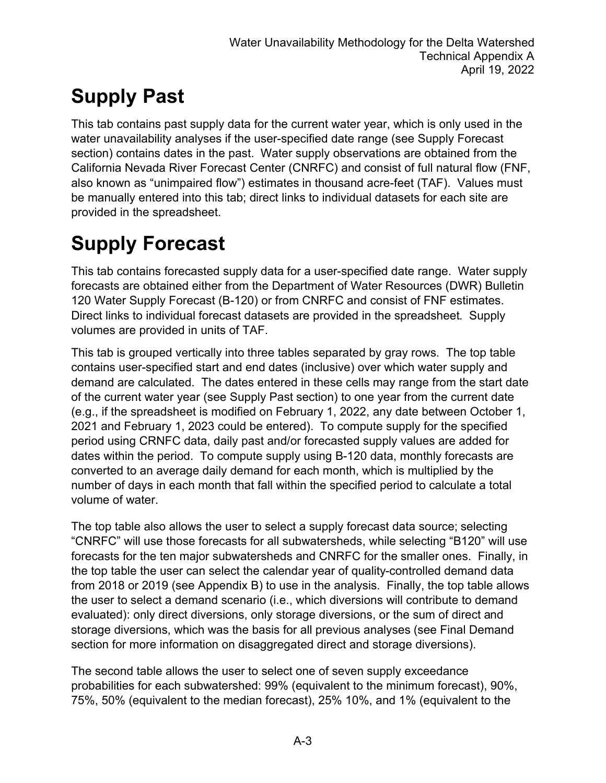## **Supply Past**

This tab contains past supply data for the current water year, which is only used in the water unavailability analyses if the user-specified date range (see Supply Forecast section) contains dates in the past. Water supply observations are obtained from the California Nevada River Forecast Center (CNRFC) and consist of full natural flow (FNF, also known as "unimpaired flow") estimates in thousand acre-feet (TAF). Values must be manually entered into this tab; direct links to individual datasets for each site are provided in the spreadsheet.

## **Supply Forecast**

This tab contains forecasted supply data for a user-specified date range. Water supply forecasts are obtained either from the Department of Water Resources (DWR) Bulletin 120 Water Supply Forecast (B-120) or from CNRFC and consist of FNF estimates. Direct links to individual forecast datasets are provided in the spreadsheet. Supply volumes are provided in units of TAF.

This tab is grouped vertically into three tables separated by gray rows. The top table contains user-specified start and end dates (inclusive) over which water supply and demand are calculated. The dates entered in these cells may range from the start date of the current water year (see Supply Past section) to one year from the current date (e.g., if the spreadsheet is modified on February 1, 2022, any date between October 1, 2021 and February 1, 2023 could be entered). To compute supply for the specified period using CRNFC data, daily past and/or forecasted supply values are added for dates within the period. To compute supply using B-120 data, monthly forecasts are converted to an average daily demand for each month, which is multiplied by the number of days in each month that fall within the specified period to calculate a total volume of water.

The top table also allows the user to select a supply forecast data source; selecting "CNRFC" will use those forecasts for all subwatersheds, while selecting "B120" will use forecasts for the ten major subwatersheds and CNRFC for the smaller ones. Finally, in the top table the user can select the calendar year of quality-controlled demand data from 2018 or 2019 (see Appendix B) to use in the analysis. Finally, the top table allows the user to select a demand scenario (i.e., which diversions will contribute to demand evaluated): only direct diversions, only storage diversions, or the sum of direct and storage diversions, which was the basis for all previous analyses (see Final Demand section for more information on disaggregated direct and storage diversions).

The second table allows the user to select one of seven supply exceedance probabilities for each subwatershed: 99% (equivalent to the minimum forecast), 90%, 75%, 50% (equivalent to the median forecast), 25% 10%, and 1% (equivalent to the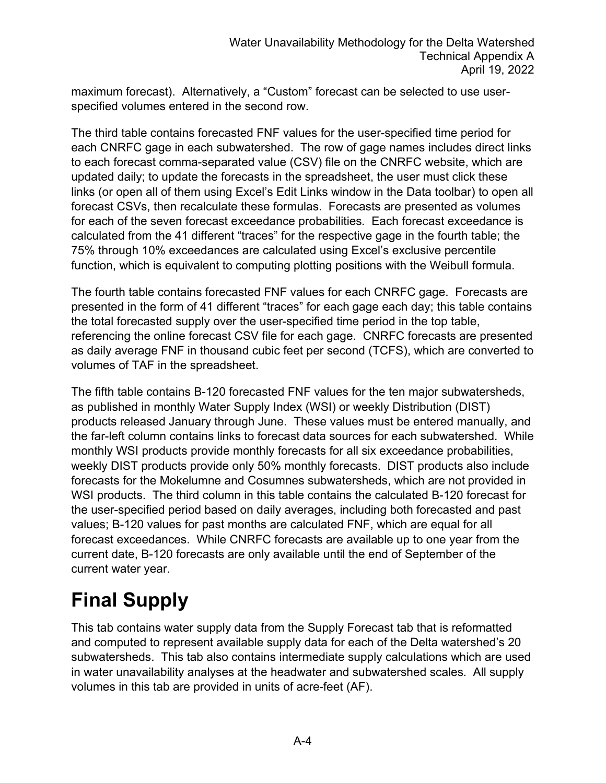maximum forecast). Alternatively, a "Custom" forecast can be selected to use userspecified volumes entered in the second row.

The third table contains forecasted FNF values for the user-specified time period for each CNRFC gage in each subwatershed. The row of gage names includes direct links to each forecast comma-separated value (CSV) file on the CNRFC website, which are updated daily; to update the forecasts in the spreadsheet, the user must click these links (or open all of them using Excel's Edit Links window in the Data toolbar) to open all forecast CSVs, then recalculate these formulas. Forecasts are presented as volumes for each of the seven forecast exceedance probabilities. Each forecast exceedance is calculated from the 41 different "traces" for the respective gage in the fourth table; the 75% through 10% exceedances are calculated using Excel's exclusive percentile function, which is equivalent to computing plotting positions with the Weibull formula.

The fourth table contains forecasted FNF values for each CNRFC gage. Forecasts are presented in the form of 41 different "traces" for each gage each day; this table contains the total forecasted supply over the user-specified time period in the top table, referencing the online forecast CSV file for each gage. CNRFC forecasts are presented as daily average FNF in thousand cubic feet per second (TCFS), which are converted to volumes of TAF in the spreadsheet.

The fifth table contains B-120 forecasted FNF values for the ten major subwatersheds, as published in monthly Water Supply Index (WSI) or weekly Distribution (DIST) products released January through June. These values must be entered manually, and the far-left column contains links to forecast data sources for each subwatershed. While monthly WSI products provide monthly forecasts for all six exceedance probabilities, weekly DIST products provide only 50% monthly forecasts. DIST products also include forecasts for the Mokelumne and Cosumnes subwatersheds, which are not provided in WSI products. The third column in this table contains the calculated B-120 forecast for the user-specified period based on daily averages, including both forecasted and past values; B-120 values for past months are calculated FNF, which are equal for all forecast exceedances. While CNRFC forecasts are available up to one year from the current date, B-120 forecasts are only available until the end of September of the current water year.

## **Final Supply**

This tab contains water supply data from the Supply Forecast tab that is reformatted and computed to represent available supply data for each of the Delta watershed's 20 subwatersheds. This tab also contains intermediate supply calculations which are used in water unavailability analyses at the headwater and subwatershed scales. All supply volumes in this tab are provided in units of acre-feet (AF).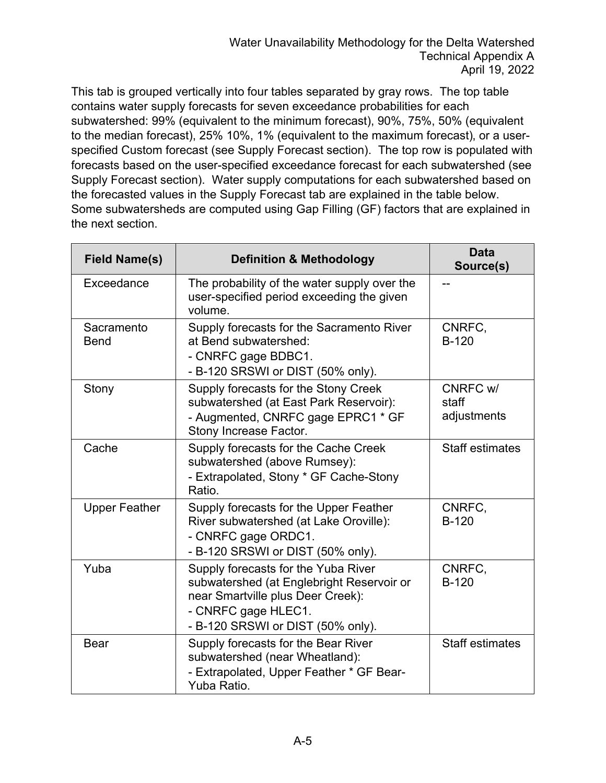This tab is grouped vertically into four tables separated by gray rows. The top table contains water supply forecasts for seven exceedance probabilities for each subwatershed: 99% (equivalent to the minimum forecast), 90%, 75%, 50% (equivalent to the median forecast), 25% 10%, 1% (equivalent to the maximum forecast), or a userspecified Custom forecast (see Supply Forecast section). The top row is populated with forecasts based on the user-specified exceedance forecast for each subwatershed (see Supply Forecast section). Water supply computations for each subwatershed based on the forecasted values in the Supply Forecast tab are explained in the table below. Some subwatersheds are computed using Gap Filling (GF) factors that are explained in the next section.

| <b>Field Name(s)</b>      | <b>Definition &amp; Methodology</b>                                                                                                                                               | <b>Data</b><br>Source(s)         |
|---------------------------|-----------------------------------------------------------------------------------------------------------------------------------------------------------------------------------|----------------------------------|
| Exceedance                | The probability of the water supply over the<br>user-specified period exceeding the given<br>volume.                                                                              |                                  |
| Sacramento<br><b>Bend</b> | Supply forecasts for the Sacramento River<br>at Bend subwatershed:<br>- CNRFC gage BDBC1.<br>- B-120 SRSWI or DIST (50% only).                                                    | CNRFC,<br><b>B-120</b>           |
| Stony                     | Supply forecasts for the Stony Creek<br>subwatershed (at East Park Reservoir):<br>- Augmented, CNRFC gage EPRC1 * GF<br>Stony Increase Factor.                                    | CNRFC w/<br>staff<br>adjustments |
| Cache                     | Supply forecasts for the Cache Creek<br>subwatershed (above Rumsey):<br>- Extrapolated, Stony * GF Cache-Stony<br>Ratio.                                                          | <b>Staff estimates</b>           |
| <b>Upper Feather</b>      | Supply forecasts for the Upper Feather<br>River subwatershed (at Lake Oroville):<br>- CNRFC gage ORDC1.<br>- B-120 SRSWI or DIST (50% only).                                      | CNRFC.<br>$B-120$                |
| Yuba                      | Supply forecasts for the Yuba River<br>subwatershed (at Englebright Reservoir or<br>near Smartville plus Deer Creek):<br>- CNRFC gage HLEC1.<br>- B-120 SRSWI or DIST (50% only). | CNRFC,<br><b>B-120</b>           |
| <b>Bear</b>               | Supply forecasts for the Bear River<br>subwatershed (near Wheatland):<br>- Extrapolated, Upper Feather * GF Bear-<br>Yuba Ratio.                                                  | <b>Staff estimates</b>           |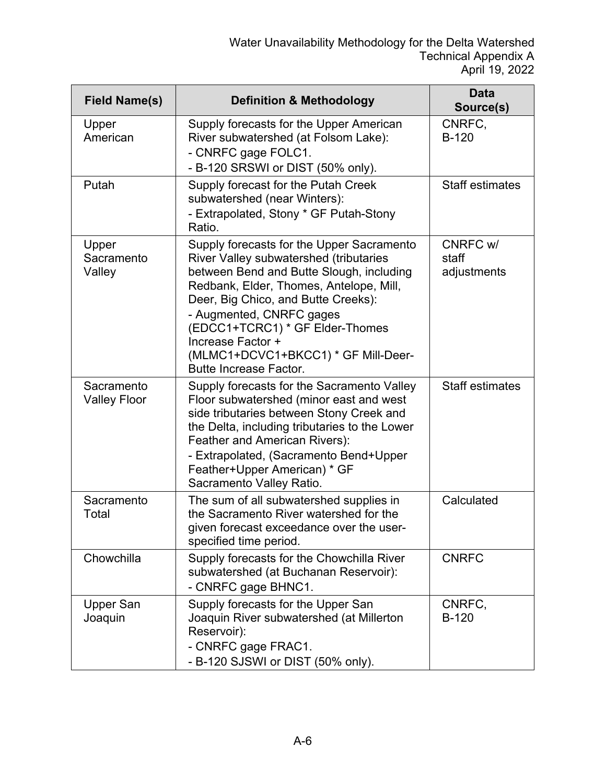| <b>Field Name(s)</b>              | <b>Definition &amp; Methodology</b>                                                                                                                                                                                                                                                                                                                                                  | Data<br>Source(s)                |
|-----------------------------------|--------------------------------------------------------------------------------------------------------------------------------------------------------------------------------------------------------------------------------------------------------------------------------------------------------------------------------------------------------------------------------------|----------------------------------|
| Upper<br>American                 | Supply forecasts for the Upper American<br>River subwatershed (at Folsom Lake):<br>- CNRFC gage FOLC1.<br>- B-120 SRSWI or DIST (50% only).                                                                                                                                                                                                                                          | CNRFC,<br>$B-120$                |
| Putah                             | Supply forecast for the Putah Creek<br>subwatershed (near Winters):<br>- Extrapolated, Stony * GF Putah-Stony<br>Ratio.                                                                                                                                                                                                                                                              | <b>Staff estimates</b>           |
| Upper<br>Sacramento<br>Valley     | Supply forecasts for the Upper Sacramento<br><b>River Valley subwatershed (tributaries</b><br>between Bend and Butte Slough, including<br>Redbank, Elder, Thomes, Antelope, Mill,<br>Deer, Big Chico, and Butte Creeks):<br>- Augmented, CNRFC gages<br>(EDCC1+TCRC1) * GF Elder-Thomes<br>Increase Factor +<br>(MLMC1+DCVC1+BKCC1) * GF Mill-Deer-<br><b>Butte Increase Factor.</b> | CNRFC w/<br>staff<br>adjustments |
| Sacramento<br><b>Valley Floor</b> | Supply forecasts for the Sacramento Valley<br>Floor subwatershed (minor east and west<br>side tributaries between Stony Creek and<br>the Delta, including tributaries to the Lower<br>Feather and American Rivers):<br>- Extrapolated, (Sacramento Bend+Upper<br>Feather+Upper American) * GF<br>Sacramento Valley Ratio.                                                            | <b>Staff estimates</b>           |
| Sacramento<br>Total               | The sum of all subwatershed supplies in<br>the Sacramento River watershed for the<br>given forecast exceedance over the user-<br>specified time period.                                                                                                                                                                                                                              | Calculated                       |
| Chowchilla                        | Supply forecasts for the Chowchilla River<br>subwatershed (at Buchanan Reservoir):<br>- CNRFC gage BHNC1.                                                                                                                                                                                                                                                                            | <b>CNRFC</b>                     |
| Upper San<br>Joaquin              | Supply forecasts for the Upper San<br>Joaquin River subwatershed (at Millerton<br>Reservoir):<br>- CNRFC gage FRAC1.<br>- B-120 SJSWI or DIST (50% only).                                                                                                                                                                                                                            | CNRFC,<br>$B-120$                |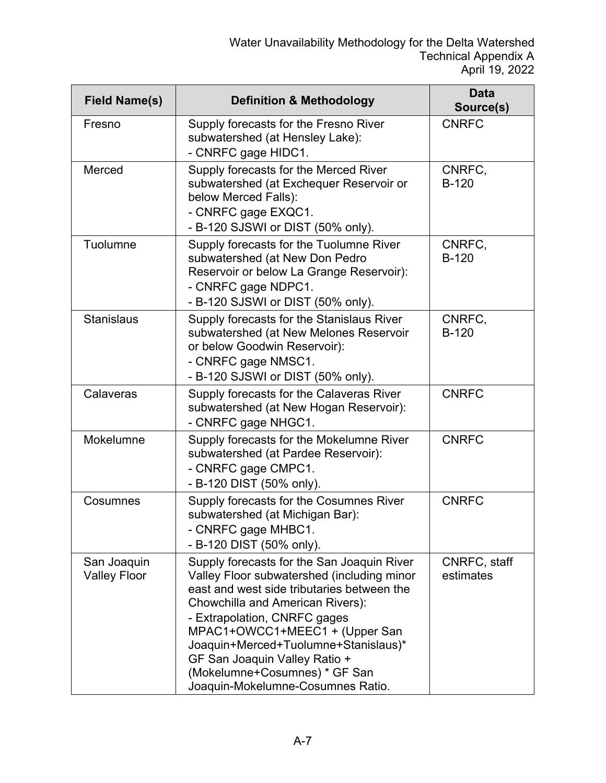| <b>Field Name(s)</b>               | <b>Definition &amp; Methodology</b>                                                                                                                                                                                                                                                                                                                                                         | <b>Data</b><br>Source(s)  |
|------------------------------------|---------------------------------------------------------------------------------------------------------------------------------------------------------------------------------------------------------------------------------------------------------------------------------------------------------------------------------------------------------------------------------------------|---------------------------|
| Fresno                             | Supply forecasts for the Fresno River<br>subwatershed (at Hensley Lake):<br>- CNRFC gage HIDC1.                                                                                                                                                                                                                                                                                             | <b>CNRFC</b>              |
| Merced                             | Supply forecasts for the Merced River<br>subwatershed (at Exchequer Reservoir or<br>below Merced Falls):<br>- CNRFC gage EXQC1.<br>- B-120 SJSWI or DIST (50% only).                                                                                                                                                                                                                        | CNRFC,<br>$B-120$         |
| Tuolumne                           | Supply forecasts for the Tuolumne River<br>subwatershed (at New Don Pedro<br>Reservoir or below La Grange Reservoir):<br>- CNRFC gage NDPC1.<br>- B-120 SJSWI or DIST (50% only).                                                                                                                                                                                                           | CNRFC,<br>$B-120$         |
| <b>Stanislaus</b>                  | Supply forecasts for the Stanislaus River<br>subwatershed (at New Melones Reservoir<br>or below Goodwin Reservoir):<br>- CNRFC gage NMSC1.<br>- B-120 SJSWI or DIST (50% only).                                                                                                                                                                                                             | CNRFC,<br>$B-120$         |
| Calaveras                          | Supply forecasts for the Calaveras River<br>subwatershed (at New Hogan Reservoir):<br>- CNRFC gage NHGC1.                                                                                                                                                                                                                                                                                   | <b>CNRFC</b>              |
| Mokelumne                          | Supply forecasts for the Mokelumne River<br>subwatershed (at Pardee Reservoir):<br>- CNRFC gage CMPC1.<br>- B-120 DIST (50% only).                                                                                                                                                                                                                                                          | <b>CNRFC</b>              |
| Cosumnes                           | Supply forecasts for the Cosumnes River<br>subwatershed (at Michigan Bar):<br>- CNRFC gage MHBC1.<br>- B-120 DIST (50% only).                                                                                                                                                                                                                                                               | <b>CNRFC</b>              |
| San Joaquin<br><b>Valley Floor</b> | Supply forecasts for the San Joaquin River<br>Valley Floor subwatershed (including minor<br>east and west side tributaries between the<br>Chowchilla and American Rivers):<br>- Extrapolation, CNRFC gages<br>MPAC1+OWCC1+MEEC1 + (Upper San<br>Joaquin+Merced+Tuolumne+Stanislaus)*<br>GF San Joaquin Valley Ratio +<br>(Mokelumne+Cosumnes) * GF San<br>Joaquin-Mokelumne-Cosumnes Ratio. | CNRFC, staff<br>estimates |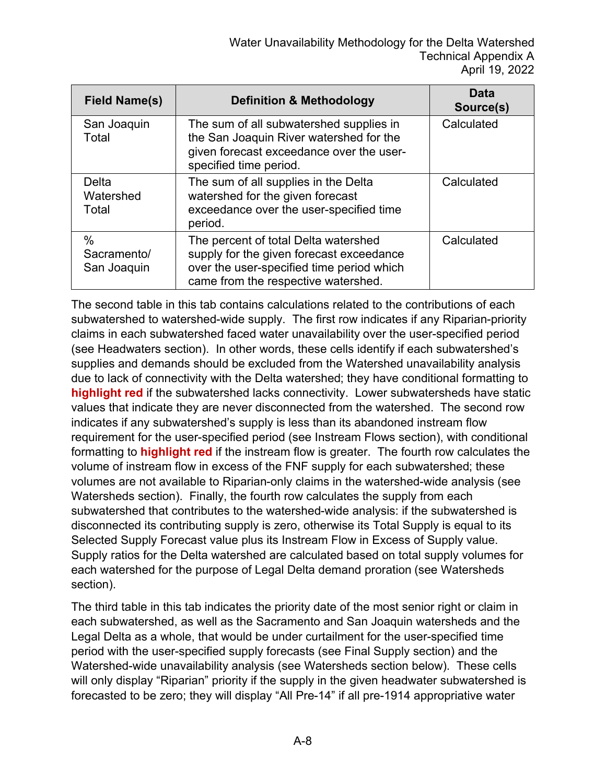| <b>Field Name(s)</b>               | <b>Definition &amp; Methodology</b>                                                                                                                                  | Data<br>Source(s) |
|------------------------------------|----------------------------------------------------------------------------------------------------------------------------------------------------------------------|-------------------|
| San Joaquin<br>Total               | The sum of all subwatershed supplies in<br>the San Joaquin River watershed for the<br>given forecast exceedance over the user-<br>specified time period.             | Calculated        |
| Delta<br>Watershed<br>Total        | The sum of all supplies in the Delta<br>watershed for the given forecast<br>exceedance over the user-specified time<br>period.                                       | Calculated        |
| $\%$<br>Sacramento/<br>San Joaquin | The percent of total Delta watershed<br>supply for the given forecast exceedance<br>over the user-specified time period which<br>came from the respective watershed. | Calculated        |

The second table in this tab contains calculations related to the contributions of each subwatershed to watershed-wide supply. The first row indicates if any Riparian-priority claims in each subwatershed faced water unavailability over the user-specified period (see Headwaters section). In other words, these cells identify if each subwatershed's supplies and demands should be excluded from the Watershed unavailability analysis due to lack of connectivity with the Delta watershed; they have conditional formatting to **highlight red** if the subwatershed lacks connectivity. Lower subwatersheds have static values that indicate they are never disconnected from the watershed. The second row indicates if any subwatershed's supply is less than its abandoned instream flow requirement for the user-specified period (see Instream Flows section), with conditional formatting to **highlight red** if the instream flow is greater. The fourth row calculates the volume of instream flow in excess of the FNF supply for each subwatershed; these volumes are not available to Riparian-only claims in the watershed-wide analysis (see Watersheds section). Finally, the fourth row calculates the supply from each subwatershed that contributes to the watershed-wide analysis: if the subwatershed is disconnected its contributing supply is zero, otherwise its Total Supply is equal to its Selected Supply Forecast value plus its Instream Flow in Excess of Supply value. Supply ratios for the Delta watershed are calculated based on total supply volumes for each watershed for the purpose of Legal Delta demand proration (see Watersheds section).

The third table in this tab indicates the priority date of the most senior right or claim in each subwatershed, as well as the Sacramento and San Joaquin watersheds and the Legal Delta as a whole, that would be under curtailment for the user-specified time period with the user-specified supply forecasts (see Final Supply section) and the Watershed-wide unavailability analysis (see Watersheds section below). These cells will only display "Riparian" priority if the supply in the given headwater subwatershed is forecasted to be zero; they will display "All Pre-14" if all pre-1914 appropriative water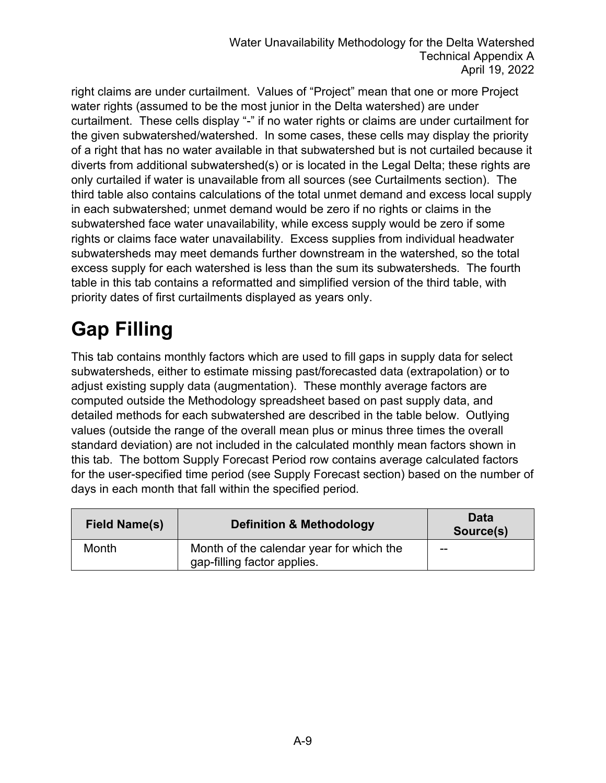right claims are under curtailment. Values of "Project" mean that one or more Project water rights (assumed to be the most junior in the Delta watershed) are under curtailment. These cells display "-" if no water rights or claims are under curtailment for the given subwatershed/watershed. In some cases, these cells may display the priority of a right that has no water available in that subwatershed but is not curtailed because it diverts from additional subwatershed(s) or is located in the Legal Delta; these rights are only curtailed if water is unavailable from all sources (see Curtailments section). The third table also contains calculations of the total unmet demand and excess local supply in each subwatershed; unmet demand would be zero if no rights or claims in the subwatershed face water unavailability, while excess supply would be zero if some rights or claims face water unavailability. Excess supplies from individual headwater subwatersheds may meet demands further downstream in the watershed, so the total excess supply for each watershed is less than the sum its subwatersheds. The fourth table in this tab contains a reformatted and simplified version of the third table, with priority dates of first curtailments displayed as years only.

## **Gap Filling**

This tab contains monthly factors which are used to fill gaps in supply data for select subwatersheds, either to estimate missing past/forecasted data (extrapolation) or to adjust existing supply data (augmentation). These monthly average factors are computed outside the Methodology spreadsheet based on past supply data, and detailed methods for each subwatershed are described in the table below. Outlying values (outside the range of the overall mean plus or minus three times the overall standard deviation) are not included in the calculated monthly mean factors shown in this tab. The bottom Supply Forecast Period row contains average calculated factors for the user-specified time period (see Supply Forecast section) based on the number of days in each month that fall within the specified period.

| <b>Field Name(s)</b> | <b>Definition &amp; Methodology</b>                                     | Data<br>Source(s) |
|----------------------|-------------------------------------------------------------------------|-------------------|
| Month                | Month of the calendar year for which the<br>gap-filling factor applies. | $- -$             |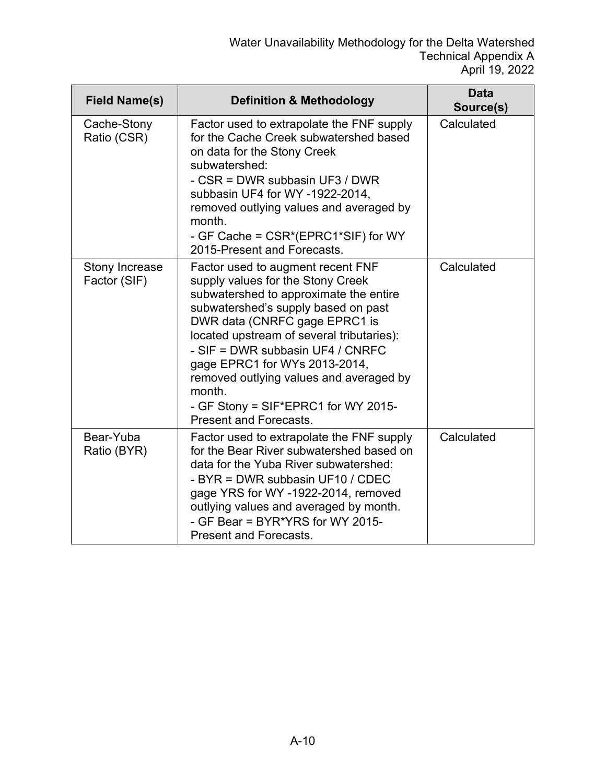| <b>Field Name(s)</b>           | <b>Definition &amp; Methodology</b>                                                                                                                                                                                                                                                                                                                                                                                                     | <b>Data</b><br>Source(s) |
|--------------------------------|-----------------------------------------------------------------------------------------------------------------------------------------------------------------------------------------------------------------------------------------------------------------------------------------------------------------------------------------------------------------------------------------------------------------------------------------|--------------------------|
| Cache-Stony<br>Ratio (CSR)     | Factor used to extrapolate the FNF supply<br>for the Cache Creek subwatershed based<br>on data for the Stony Creek<br>subwatershed:<br>- CSR = DWR subbasin UF3 / DWR<br>subbasin UF4 for WY -1922-2014,<br>removed outlying values and averaged by<br>month.<br>- GF Cache = CSR*(EPRC1*SIF) for WY<br>2015-Present and Forecasts.                                                                                                     | Calculated               |
| Stony Increase<br>Factor (SIF) | Factor used to augment recent FNF<br>supply values for the Stony Creek<br>subwatershed to approximate the entire<br>subwatershed's supply based on past<br>DWR data (CNRFC gage EPRC1 is<br>located upstream of several tributaries):<br>- SIF = DWR subbasin UF4 / CNRFC<br>gage EPRC1 for WYs 2013-2014,<br>removed outlying values and averaged by<br>month.<br>- GF Stony = SIF*EPRC1 for WY 2015-<br><b>Present and Forecasts.</b> | Calculated               |
| Bear-Yuba<br>Ratio (BYR)       | Factor used to extrapolate the FNF supply<br>for the Bear River subwatershed based on<br>data for the Yuba River subwatershed:<br>- BYR = DWR subbasin UF10 / CDEC<br>gage YRS for WY -1922-2014, removed<br>outlying values and averaged by month.<br>- GF Bear = BYR*YRS for WY 2015-<br><b>Present and Forecasts.</b>                                                                                                                | Calculated               |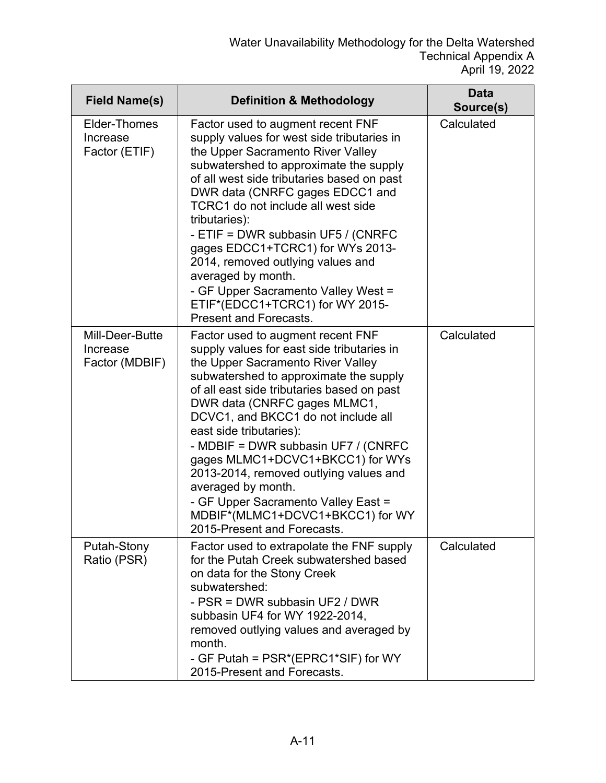| <b>Field Name(s)</b>                          | <b>Definition &amp; Methodology</b>                                                                                                                                                                                                                                                                                                                                                                                                                                                                                                                                 | <b>Data</b><br>Source(s) |
|-----------------------------------------------|---------------------------------------------------------------------------------------------------------------------------------------------------------------------------------------------------------------------------------------------------------------------------------------------------------------------------------------------------------------------------------------------------------------------------------------------------------------------------------------------------------------------------------------------------------------------|--------------------------|
| Elder-Thomes<br>Increase<br>Factor (ETIF)     | Factor used to augment recent FNF<br>supply values for west side tributaries in<br>the Upper Sacramento River Valley<br>subwatershed to approximate the supply<br>of all west side tributaries based on past<br>DWR data (CNRFC gages EDCC1 and<br>TCRC1 do not include all west side<br>tributaries):<br>- ETIF = DWR subbasin UF5 / (CNRFC<br>gages EDCC1+TCRC1) for WYs 2013-<br>2014, removed outlying values and<br>averaged by month.<br>- GF Upper Sacramento Valley West =<br>ETIF*(EDCC1+TCRC1) for WY 2015-<br><b>Present and Forecasts.</b>              | Calculated               |
| Mill-Deer-Butte<br>Increase<br>Factor (MDBIF) | Factor used to augment recent FNF<br>supply values for east side tributaries in<br>the Upper Sacramento River Valley<br>subwatershed to approximate the supply<br>of all east side tributaries based on past<br>DWR data (CNRFC gages MLMC1,<br>DCVC1, and BKCC1 do not include all<br>east side tributaries):<br>- MDBIF = DWR subbasin UF7 / (CNRFC<br>gages MLMC1+DCVC1+BKCC1) for WYs<br>2013-2014, removed outlying values and<br>averaged by month.<br>- GF Upper Sacramento Valley East =<br>MDBIF*(MLMC1+DCVC1+BKCC1) for WY<br>2015-Present and Forecasts. | Calculated               |
| Putah-Stony<br>Ratio (PSR)                    | Factor used to extrapolate the FNF supply<br>for the Putah Creek subwatershed based<br>on data for the Stony Creek<br>subwatershed:<br>- PSR = DWR subbasin UF2 / DWR<br>subbasin UF4 for WY 1922-2014,<br>removed outlying values and averaged by<br>month.<br>- GF Putah = PSR*(EPRC1*SIF) for WY<br>2015-Present and Forecasts.                                                                                                                                                                                                                                  | Calculated               |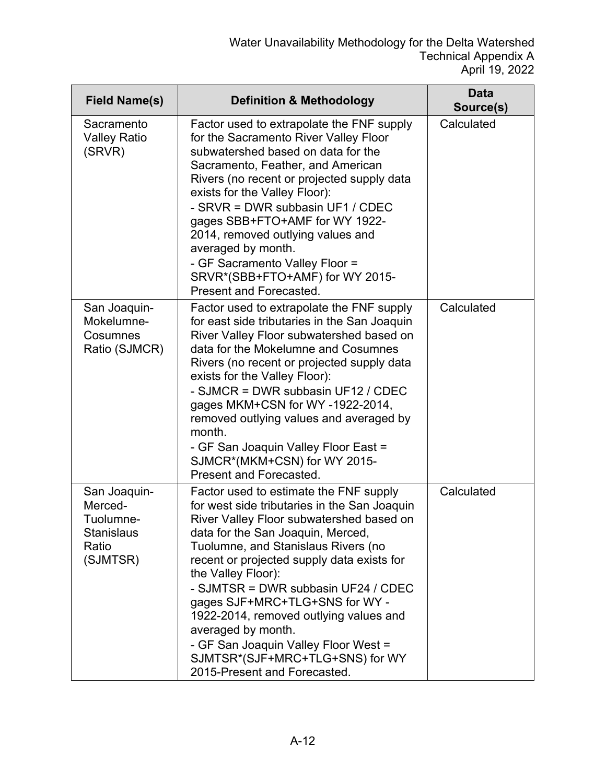| <b>Field Name(s)</b>                                                           | <b>Definition &amp; Methodology</b>                                                                                                                                                                                                                                                                                                                                                                                                                                                                                                    | Data<br>Source(s) |
|--------------------------------------------------------------------------------|----------------------------------------------------------------------------------------------------------------------------------------------------------------------------------------------------------------------------------------------------------------------------------------------------------------------------------------------------------------------------------------------------------------------------------------------------------------------------------------------------------------------------------------|-------------------|
| Sacramento<br><b>Valley Ratio</b><br>(SRVR)                                    | Factor used to extrapolate the FNF supply<br>for the Sacramento River Valley Floor<br>subwatershed based on data for the<br>Sacramento, Feather, and American<br>Rivers (no recent or projected supply data<br>exists for the Valley Floor):<br>- SRVR = DWR subbasin UF1 / CDEC<br>gages SBB+FTO+AMF for WY 1922-<br>2014, removed outlying values and<br>averaged by month.<br>- GF Sacramento Valley Floor =<br>SRVR*(SBB+FTO+AMF) for WY 2015-<br>Present and Forecasted.                                                          | Calculated        |
| San Joaquin-<br>Mokelumne-<br>Cosumnes<br>Ratio (SJMCR)                        | Factor used to extrapolate the FNF supply<br>for east side tributaries in the San Joaquin<br>River Valley Floor subwatershed based on<br>data for the Mokelumne and Cosumnes<br>Rivers (no recent or projected supply data<br>exists for the Valley Floor):<br>- SJMCR = DWR subbasin UF12 / CDEC<br>gages MKM+CSN for WY-1922-2014,<br>removed outlying values and averaged by<br>month.<br>- GF San Joaquin Valley Floor East =<br>SJMCR*(MKM+CSN) for WY 2015-<br>Present and Forecasted.                                           | Calculated        |
| San Joaquin-<br>Merced-<br>Tuolumne-<br><b>Stanislaus</b><br>Ratio<br>(SJMTSR) | Factor used to estimate the FNF supply<br>for west side tributaries in the San Joaquin<br>River Valley Floor subwatershed based on<br>data for the San Joaquin, Merced,<br>Tuolumne, and Stanislaus Rivers (no<br>recent or projected supply data exists for<br>the Valley Floor):<br>- SJMTSR = DWR subbasin UF24 / CDEC<br>gages SJF+MRC+TLG+SNS for WY -<br>1922-2014, removed outlying values and<br>averaged by month.<br>- GF San Joaquin Valley Floor West =<br>SJMTSR*(SJF+MRC+TLG+SNS) for WY<br>2015-Present and Forecasted. | Calculated        |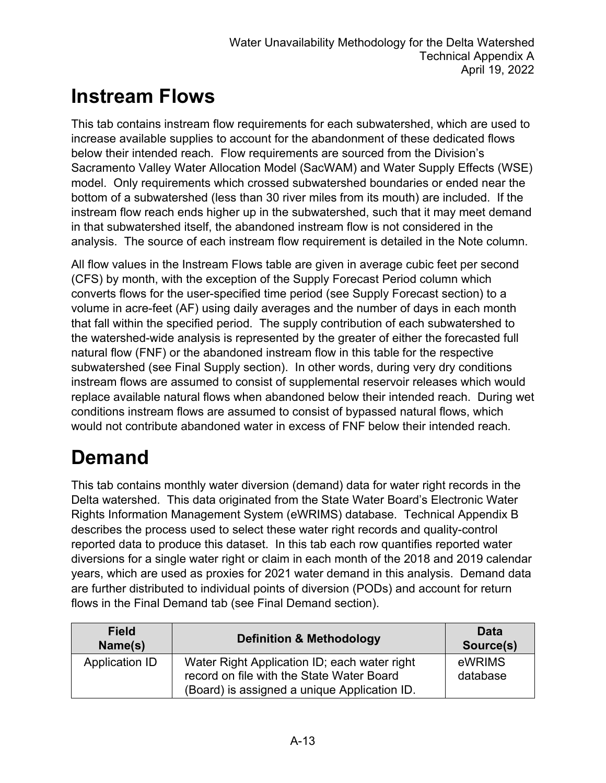#### **Instream Flows**

This tab contains instream flow requirements for each subwatershed, which are used to increase available supplies to account for the abandonment of these dedicated flows below their intended reach. Flow requirements are sourced from the Division's Sacramento Valley Water Allocation Model (SacWAM) and Water Supply Effects (WSE) model. Only requirements which crossed subwatershed boundaries or ended near the bottom of a subwatershed (less than 30 river miles from its mouth) are included. If the instream flow reach ends higher up in the subwatershed, such that it may meet demand in that subwatershed itself, the abandoned instream flow is not considered in the analysis. The source of each instream flow requirement is detailed in the Note column.

All flow values in the Instream Flows table are given in average cubic feet per second (CFS) by month, with the exception of the Supply Forecast Period column which converts flows for the user-specified time period (see Supply Forecast section) to a volume in acre-feet (AF) using daily averages and the number of days in each month that fall within the specified period. The supply contribution of each subwatershed to the watershed-wide analysis is represented by the greater of either the forecasted full natural flow (FNF) or the abandoned instream flow in this table for the respective subwatershed (see Final Supply section). In other words, during very dry conditions instream flows are assumed to consist of supplemental reservoir releases which would replace available natural flows when abandoned below their intended reach. During wet conditions instream flows are assumed to consist of bypassed natural flows, which would not contribute abandoned water in excess of FNF below their intended reach.

## **Demand**

This tab contains monthly water diversion (demand) data for water right records in the Delta watershed. This data originated from the State Water Board's Electronic Water Rights Information Management System (eWRIMS) database. Technical Appendix B describes the process used to select these water right records and quality-control reported data to produce this dataset. In this tab each row quantifies reported water diversions for a single water right or claim in each month of the 2018 and 2019 calendar years, which are used as proxies for 2021 water demand in this analysis. Demand data are further distributed to individual points of diversion (PODs) and account for return flows in the Final Demand tab (see Final Demand section).

| <b>Field</b><br>Name(s) | <b>Definition &amp; Methodology</b>                                                                                                       | Data<br>Source(s)  |
|-------------------------|-------------------------------------------------------------------------------------------------------------------------------------------|--------------------|
| Application ID          | Water Right Application ID; each water right<br>record on file with the State Water Board<br>(Board) is assigned a unique Application ID. | eWRIMS<br>database |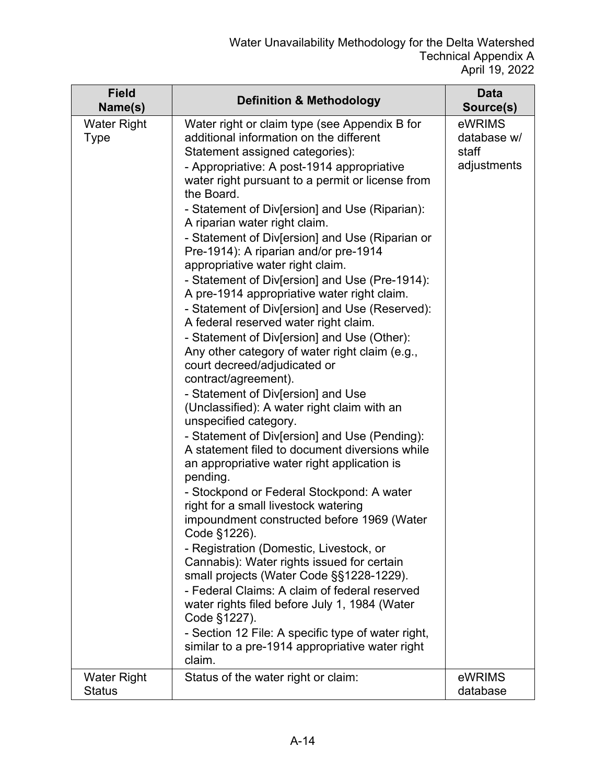| <b>Field</b><br>Name(s)             | <b>Definition &amp; Methodology</b>                                                                                                                                                                                                                                                                                                                                                                                                                                                                                                                                                                                                                                                                                                                                                                                                                                                                                                                                                                                                                                                                                                                                                                                                                                                                                                                                                                                                                                                                                                                                                                                          | <b>Data</b><br>Source(s)                      |
|-------------------------------------|------------------------------------------------------------------------------------------------------------------------------------------------------------------------------------------------------------------------------------------------------------------------------------------------------------------------------------------------------------------------------------------------------------------------------------------------------------------------------------------------------------------------------------------------------------------------------------------------------------------------------------------------------------------------------------------------------------------------------------------------------------------------------------------------------------------------------------------------------------------------------------------------------------------------------------------------------------------------------------------------------------------------------------------------------------------------------------------------------------------------------------------------------------------------------------------------------------------------------------------------------------------------------------------------------------------------------------------------------------------------------------------------------------------------------------------------------------------------------------------------------------------------------------------------------------------------------------------------------------------------------|-----------------------------------------------|
| <b>Water Right</b><br><b>Type</b>   | Water right or claim type (see Appendix B for<br>additional information on the different<br>Statement assigned categories):<br>- Appropriative: A post-1914 appropriative<br>water right pursuant to a permit or license from<br>the Board.<br>- Statement of Div[ersion] and Use (Riparian):<br>A riparian water right claim.<br>- Statement of Div[ersion] and Use (Riparian or<br>Pre-1914): A riparian and/or pre-1914<br>appropriative water right claim.<br>- Statement of Div[ersion] and Use (Pre-1914):<br>A pre-1914 appropriative water right claim.<br>- Statement of Div[ersion] and Use (Reserved):<br>A federal reserved water right claim.<br>- Statement of Div[ersion] and Use (Other):<br>Any other category of water right claim (e.g.,<br>court decreed/adjudicated or<br>contract/agreement).<br>- Statement of Div[ersion] and Use<br>(Unclassified): A water right claim with an<br>unspecified category.<br>- Statement of Div[ersion] and Use (Pending):<br>A statement filed to document diversions while<br>an appropriative water right application is<br>pending.<br>- Stockpond or Federal Stockpond: A water<br>right for a small livestock watering<br>impoundment constructed before 1969 (Water<br>Code §1226).<br>- Registration (Domestic, Livestock, or<br>Cannabis): Water rights issued for certain<br>small projects (Water Code §§1228-1229).<br>- Federal Claims: A claim of federal reserved<br>water rights filed before July 1, 1984 (Water<br>Code §1227).<br>- Section 12 File: A specific type of water right,<br>similar to a pre-1914 appropriative water right<br>claim. | eWRIMS<br>database w/<br>staff<br>adjustments |
| <b>Water Right</b><br><b>Status</b> | Status of the water right or claim:                                                                                                                                                                                                                                                                                                                                                                                                                                                                                                                                                                                                                                                                                                                                                                                                                                                                                                                                                                                                                                                                                                                                                                                                                                                                                                                                                                                                                                                                                                                                                                                          | eWRIMS<br>database                            |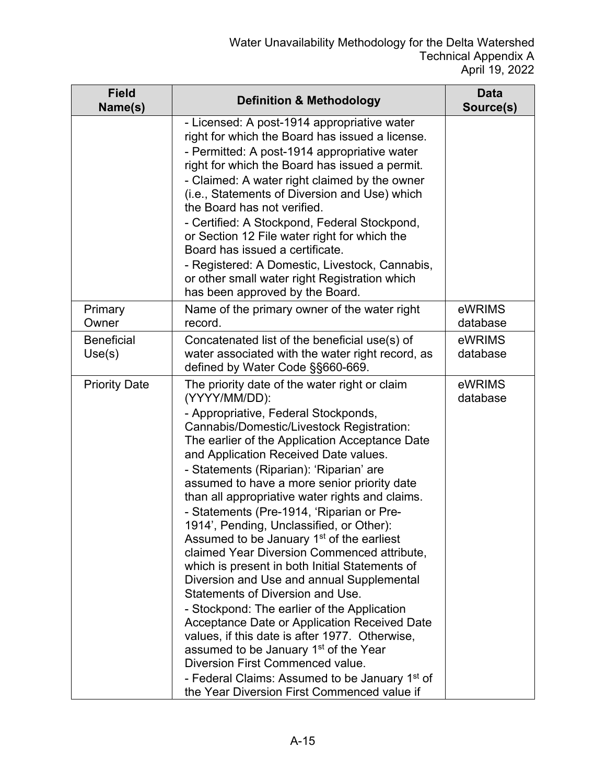| <b>Field</b><br>Name(s)     | <b>Definition &amp; Methodology</b>                                                                                                                                                                                                                                                                                                                                                                                                                                                                                                                                                                                                                                                                                                                                                                                                                                                                                                                                                                                                                                                    | <b>Data</b><br>Source(s) |
|-----------------------------|----------------------------------------------------------------------------------------------------------------------------------------------------------------------------------------------------------------------------------------------------------------------------------------------------------------------------------------------------------------------------------------------------------------------------------------------------------------------------------------------------------------------------------------------------------------------------------------------------------------------------------------------------------------------------------------------------------------------------------------------------------------------------------------------------------------------------------------------------------------------------------------------------------------------------------------------------------------------------------------------------------------------------------------------------------------------------------------|--------------------------|
|                             | - Licensed: A post-1914 appropriative water<br>right for which the Board has issued a license.<br>- Permitted: A post-1914 appropriative water<br>right for which the Board has issued a permit.<br>- Claimed: A water right claimed by the owner<br>(i.e., Statements of Diversion and Use) which<br>the Board has not verified.<br>- Certified: A Stockpond, Federal Stockpond,<br>or Section 12 File water right for which the<br>Board has issued a certificate.<br>- Registered: A Domestic, Livestock, Cannabis,<br>or other small water right Registration which<br>has been approved by the Board.                                                                                                                                                                                                                                                                                                                                                                                                                                                                             |                          |
| Primary<br>Owner            | Name of the primary owner of the water right<br>record.                                                                                                                                                                                                                                                                                                                                                                                                                                                                                                                                                                                                                                                                                                                                                                                                                                                                                                                                                                                                                                | eWRIMS<br>database       |
| <b>Beneficial</b><br>Use(s) | Concatenated list of the beneficial use(s) of<br>water associated with the water right record, as<br>defined by Water Code §§660-669.                                                                                                                                                                                                                                                                                                                                                                                                                                                                                                                                                                                                                                                                                                                                                                                                                                                                                                                                                  | eWRIMS<br>database       |
| <b>Priority Date</b>        | The priority date of the water right or claim<br>(YYYY/MM/DD):<br>- Appropriative, Federal Stockponds,<br>Cannabis/Domestic/Livestock Registration:<br>The earlier of the Application Acceptance Date<br>and Application Received Date values.<br>- Statements (Riparian): 'Riparian' are<br>assumed to have a more senior priority date<br>than all appropriative water rights and claims.<br>- Statements (Pre-1914, 'Riparian or Pre-<br>1914', Pending, Unclassified, or Other):<br>Assumed to be January 1 <sup>st</sup> of the earliest<br>claimed Year Diversion Commenced attribute,<br>which is present in both Initial Statements of<br>Diversion and Use and annual Supplemental<br>Statements of Diversion and Use.<br>- Stockpond: The earlier of the Application<br>Acceptance Date or Application Received Date<br>values, if this date is after 1977. Otherwise,<br>assumed to be January 1 <sup>st</sup> of the Year<br>Diversion First Commenced value.<br>- Federal Claims: Assumed to be January 1 <sup>st</sup> of<br>the Year Diversion First Commenced value if | eWRIMS<br>database       |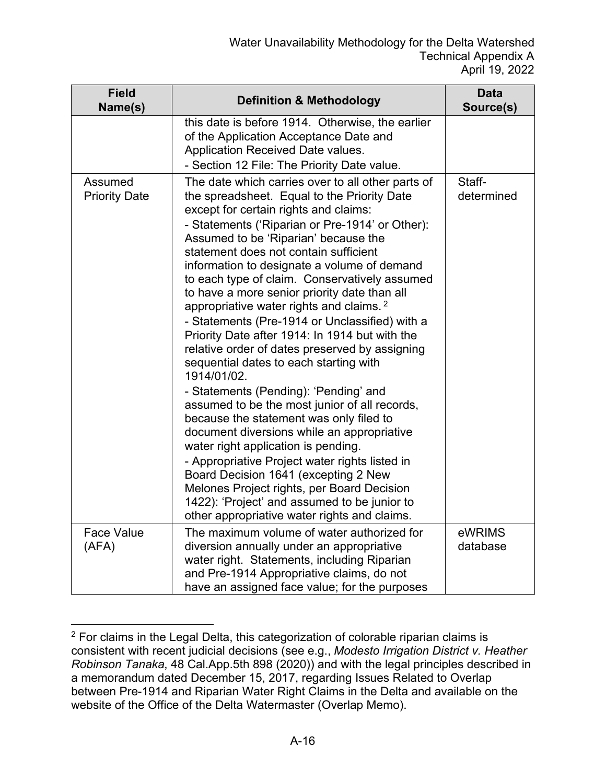| <b>Field</b><br>Name(s)         | <b>Definition &amp; Methodology</b>                                                                                                                                                                                                                                                                                                                                                                                                                                                                                                                                                                                                                                                                                                                                                                                                                                                                                                                                                                                                                                                                                                                                   | <b>Data</b><br>Source(s) |
|---------------------------------|-----------------------------------------------------------------------------------------------------------------------------------------------------------------------------------------------------------------------------------------------------------------------------------------------------------------------------------------------------------------------------------------------------------------------------------------------------------------------------------------------------------------------------------------------------------------------------------------------------------------------------------------------------------------------------------------------------------------------------------------------------------------------------------------------------------------------------------------------------------------------------------------------------------------------------------------------------------------------------------------------------------------------------------------------------------------------------------------------------------------------------------------------------------------------|--------------------------|
|                                 | this date is before 1914. Otherwise, the earlier<br>of the Application Acceptance Date and<br>Application Received Date values.<br>- Section 12 File: The Priority Date value.                                                                                                                                                                                                                                                                                                                                                                                                                                                                                                                                                                                                                                                                                                                                                                                                                                                                                                                                                                                        |                          |
| Assumed<br><b>Priority Date</b> | The date which carries over to all other parts of<br>the spreadsheet. Equal to the Priority Date<br>except for certain rights and claims:<br>- Statements ('Riparian or Pre-1914' or Other):<br>Assumed to be 'Riparian' because the<br>statement does not contain sufficient<br>information to designate a volume of demand<br>to each type of claim. Conservatively assumed<br>to have a more senior priority date than all<br>appropriative water rights and claims. <sup>2</sup><br>- Statements (Pre-1914 or Unclassified) with a<br>Priority Date after 1914: In 1914 but with the<br>relative order of dates preserved by assigning<br>sequential dates to each starting with<br>1914/01/02.<br>- Statements (Pending): 'Pending' and<br>assumed to be the most junior of all records,<br>because the statement was only filed to<br>document diversions while an appropriative<br>water right application is pending.<br>- Appropriative Project water rights listed in<br>Board Decision 1641 (excepting 2 New<br>Melones Project rights, per Board Decision<br>1422): 'Project' and assumed to be junior to<br>other appropriative water rights and claims. | Staff-<br>determined     |
| <b>Face Value</b><br>(AFA)      | The maximum volume of water authorized for<br>diversion annually under an appropriative<br>water right. Statements, including Riparian<br>and Pre-1914 Appropriative claims, do not<br>have an assigned face value; for the purposes                                                                                                                                                                                                                                                                                                                                                                                                                                                                                                                                                                                                                                                                                                                                                                                                                                                                                                                                  | eWRIMS<br>database       |

<sup>&</sup>lt;sup>2</sup> For claims in the Legal Delta, this categorization of colorable riparian claims is consistent with recent judicial decisions (see e.g., *Modesto Irrigation District v. Heather Robinson Tanaka*, 48 Cal.App.5th 898 (2020)) and with the legal principles described in a memorandum dated December 15, 2017, regarding Issues Related to Overlap between Pre-1914 and Riparian Water Right Claims in the Delta and available on the website of the Office of the Delta Watermaster (Overlap Memo).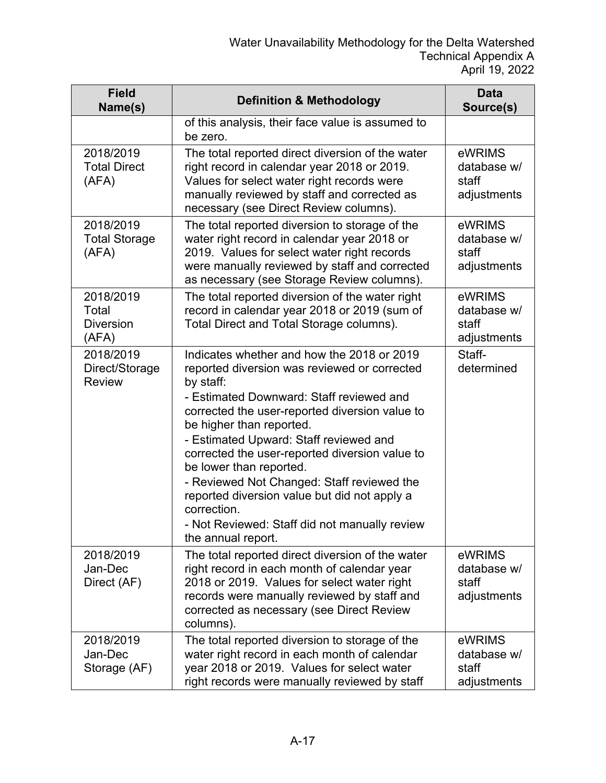| <b>Field</b><br>Name(s)                         | <b>Definition &amp; Methodology</b>                                                                                                                                                                                                                     | <b>Data</b><br>Source(s)                      |
|-------------------------------------------------|---------------------------------------------------------------------------------------------------------------------------------------------------------------------------------------------------------------------------------------------------------|-----------------------------------------------|
|                                                 | of this analysis, their face value is assumed to<br>be zero.                                                                                                                                                                                            |                                               |
| 2018/2019<br><b>Total Direct</b><br>(AFA)       | The total reported direct diversion of the water<br>right record in calendar year 2018 or 2019.<br>Values for select water right records were<br>manually reviewed by staff and corrected as<br>necessary (see Direct Review columns).                  | eWRIMS<br>database w/<br>staff<br>adjustments |
| 2018/2019<br><b>Total Storage</b><br>(AFA)      | The total reported diversion to storage of the<br>water right record in calendar year 2018 or<br>2019. Values for select water right records<br>were manually reviewed by staff and corrected<br>as necessary (see Storage Review columns).             | eWRIMS<br>database w/<br>staff<br>adjustments |
| 2018/2019<br>Total<br><b>Diversion</b><br>(AFA) | The total reported diversion of the water right<br>record in calendar year 2018 or 2019 (sum of<br>Total Direct and Total Storage columns).                                                                                                             | eWRIMS<br>database w/<br>staff<br>adjustments |
| 2018/2019<br>Direct/Storage<br><b>Review</b>    | Indicates whether and how the 2018 or 2019<br>reported diversion was reviewed or corrected<br>by staff:                                                                                                                                                 | Staff-<br>determined                          |
|                                                 | - Estimated Downward: Staff reviewed and<br>corrected the user-reported diversion value to<br>be higher than reported.<br>- Estimated Upward: Staff reviewed and                                                                                        |                                               |
|                                                 | corrected the user-reported diversion value to<br>be lower than reported.<br>- Reviewed Not Changed: Staff reviewed the<br>reported diversion value but did not apply a                                                                                 |                                               |
|                                                 | correction.<br>- Not Reviewed: Staff did not manually review<br>the annual report.                                                                                                                                                                      |                                               |
| 2018/2019<br>Jan-Dec<br>Direct (AF)             | The total reported direct diversion of the water<br>right record in each month of calendar year<br>2018 or 2019. Values for select water right<br>records were manually reviewed by staff and<br>corrected as necessary (see Direct Review<br>columns). | eWRIMS<br>database w/<br>staff<br>adjustments |
| 2018/2019<br>Jan-Dec<br>Storage (AF)            | The total reported diversion to storage of the<br>water right record in each month of calendar<br>year 2018 or 2019. Values for select water<br>right records were manually reviewed by staff                                                           | eWRIMS<br>database w/<br>staff<br>adjustments |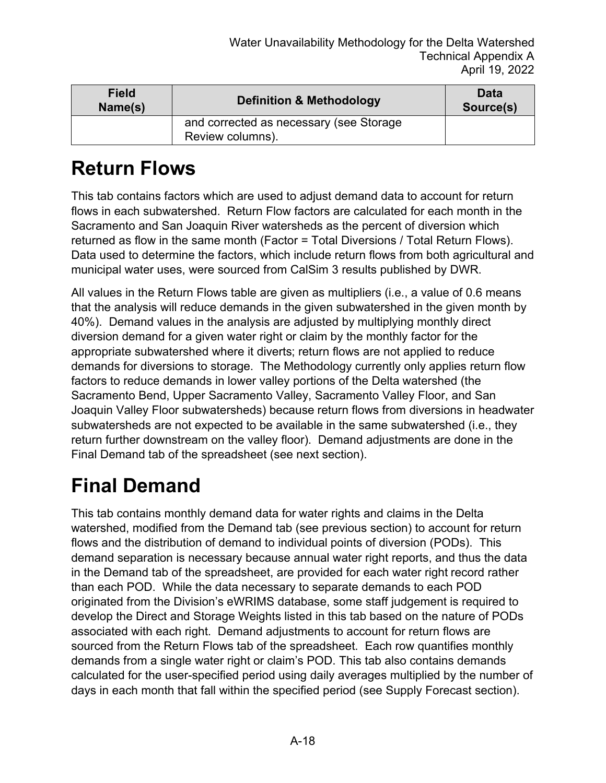| <b>Field</b><br>Name(s) | <b>Definition &amp; Methodology</b>                         | <b>Data</b><br>Source(s) |
|-------------------------|-------------------------------------------------------------|--------------------------|
|                         | and corrected as necessary (see Storage<br>Review columns). |                          |

#### **Return Flows**

This tab contains factors which are used to adjust demand data to account for return flows in each subwatershed. Return Flow factors are calculated for each month in the Sacramento and San Joaquin River watersheds as the percent of diversion which returned as flow in the same month (Factor = Total Diversions / Total Return Flows). Data used to determine the factors, which include return flows from both agricultural and municipal water uses, were sourced from CalSim 3 results published by DWR.

All values in the Return Flows table are given as multipliers (i.e., a value of 0.6 means that the analysis will reduce demands in the given subwatershed in the given month by 40%). Demand values in the analysis are adjusted by multiplying monthly direct diversion demand for a given water right or claim by the monthly factor for the appropriate subwatershed where it diverts; return flows are not applied to reduce demands for diversions to storage. The Methodology currently only applies return flow factors to reduce demands in lower valley portions of the Delta watershed (the Sacramento Bend, Upper Sacramento Valley, Sacramento Valley Floor, and San Joaquin Valley Floor subwatersheds) because return flows from diversions in headwater subwatersheds are not expected to be available in the same subwatershed (i.e., they return further downstream on the valley floor). Demand adjustments are done in the Final Demand tab of the spreadsheet (see next section).

## **Final Demand**

This tab contains monthly demand data for water rights and claims in the Delta watershed, modified from the Demand tab (see previous section) to account for return flows and the distribution of demand to individual points of diversion (PODs). This demand separation is necessary because annual water right reports, and thus the data in the Demand tab of the spreadsheet, are provided for each water right record rather than each POD. While the data necessary to separate demands to each POD originated from the Division's eWRIMS database, some staff judgement is required to develop the Direct and Storage Weights listed in this tab based on the nature of PODs associated with each right. Demand adjustments to account for return flows are sourced from the Return Flows tab of the spreadsheet. Each row quantifies monthly demands from a single water right or claim's POD. This tab also contains demands calculated for the user-specified period using daily averages multiplied by the number of days in each month that fall within the specified period (see Supply Forecast section).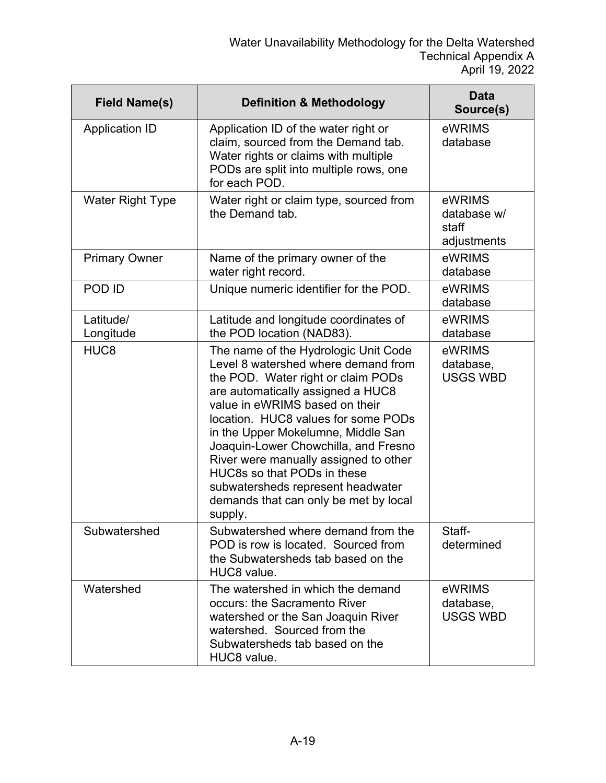| <b>Field Name(s)</b>    | <b>Definition &amp; Methodology</b>                                                                                                                                                                                                                                                                                                                                                                                                                                            | <b>Data</b><br>Source(s)                      |
|-------------------------|--------------------------------------------------------------------------------------------------------------------------------------------------------------------------------------------------------------------------------------------------------------------------------------------------------------------------------------------------------------------------------------------------------------------------------------------------------------------------------|-----------------------------------------------|
| <b>Application ID</b>   | Application ID of the water right or<br>claim, sourced from the Demand tab.<br>Water rights or claims with multiple<br>PODs are split into multiple rows, one<br>for each POD.                                                                                                                                                                                                                                                                                                 | eWRIMS<br>database                            |
| <b>Water Right Type</b> | Water right or claim type, sourced from<br>the Demand tab.                                                                                                                                                                                                                                                                                                                                                                                                                     | eWRIMS<br>database w/<br>staff<br>adjustments |
| <b>Primary Owner</b>    | Name of the primary owner of the<br>water right record.                                                                                                                                                                                                                                                                                                                                                                                                                        | eWRIMS<br>database                            |
| POD ID                  | Unique numeric identifier for the POD.                                                                                                                                                                                                                                                                                                                                                                                                                                         | eWRIMS<br>database                            |
| Latitude/<br>Longitude  | Latitude and longitude coordinates of<br>the POD location (NAD83).                                                                                                                                                                                                                                                                                                                                                                                                             | eWRIMS<br>database                            |
| HUC <sub>8</sub>        | The name of the Hydrologic Unit Code<br>Level 8 watershed where demand from<br>the POD. Water right or claim PODs<br>are automatically assigned a HUC8<br>value in eWRIMS based on their<br>location. HUC8 values for some PODs<br>in the Upper Mokelumne, Middle San<br>Joaquin-Lower Chowchilla, and Fresno<br>River were manually assigned to other<br>HUC8s so that PODs in these<br>subwatersheds represent headwater<br>demands that can only be met by local<br>supply. | eWRIMS<br>database,<br><b>USGS WBD</b>        |
| Subwatershed            | Subwatershed where demand from the<br>POD is row is located. Sourced from<br>the Subwatersheds tab based on the<br>HUC8 value.                                                                                                                                                                                                                                                                                                                                                 | Staff-<br>determined                          |
| Watershed               | The watershed in which the demand<br>occurs: the Sacramento River<br>watershed or the San Joaquin River<br>watershed. Sourced from the<br>Subwatersheds tab based on the<br>HUC8 value.                                                                                                                                                                                                                                                                                        | eWRIMS<br>database,<br><b>USGS WBD</b>        |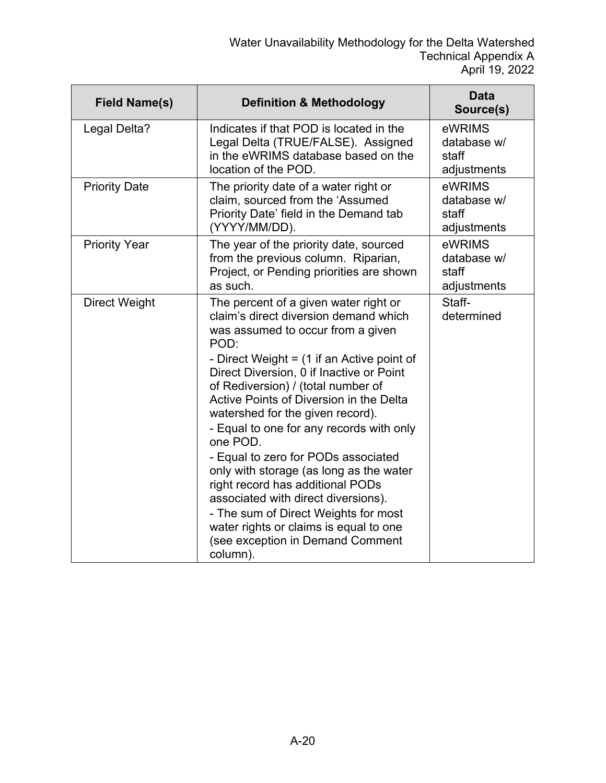| <b>Field Name(s)</b> | <b>Definition &amp; Methodology</b>                                                                                                                                                                                                                                                                                                                                                                                                                                                                                                                                                                                                                                                                 | <b>Data</b><br>Source(s)                      |
|----------------------|-----------------------------------------------------------------------------------------------------------------------------------------------------------------------------------------------------------------------------------------------------------------------------------------------------------------------------------------------------------------------------------------------------------------------------------------------------------------------------------------------------------------------------------------------------------------------------------------------------------------------------------------------------------------------------------------------------|-----------------------------------------------|
| Legal Delta?         | Indicates if that POD is located in the<br>Legal Delta (TRUE/FALSE). Assigned<br>in the eWRIMS database based on the<br>location of the POD.                                                                                                                                                                                                                                                                                                                                                                                                                                                                                                                                                        | eWRIMS<br>database w/<br>staff<br>adjustments |
| <b>Priority Date</b> | The priority date of a water right or<br>claim, sourced from the 'Assumed<br>Priority Date' field in the Demand tab<br>(YYYY/MM/DD).                                                                                                                                                                                                                                                                                                                                                                                                                                                                                                                                                                | eWRIMS<br>database w/<br>staff<br>adjustments |
| <b>Priority Year</b> | The year of the priority date, sourced<br>from the previous column. Riparian,<br>Project, or Pending priorities are shown<br>as such.                                                                                                                                                                                                                                                                                                                                                                                                                                                                                                                                                               | eWRIMS<br>database w/<br>staff<br>adjustments |
| <b>Direct Weight</b> | The percent of a given water right or<br>claim's direct diversion demand which<br>was assumed to occur from a given<br>POD:<br>- Direct Weight $=$ (1 if an Active point of<br>Direct Diversion, 0 if Inactive or Point<br>of Rediversion) / (total number of<br>Active Points of Diversion in the Delta<br>watershed for the given record).<br>- Equal to one for any records with only<br>one POD.<br>- Equal to zero for PODs associated<br>only with storage (as long as the water<br>right record has additional PODs<br>associated with direct diversions).<br>- The sum of Direct Weights for most<br>water rights or claims is equal to one<br>(see exception in Demand Comment<br>column). | Staff-<br>determined                          |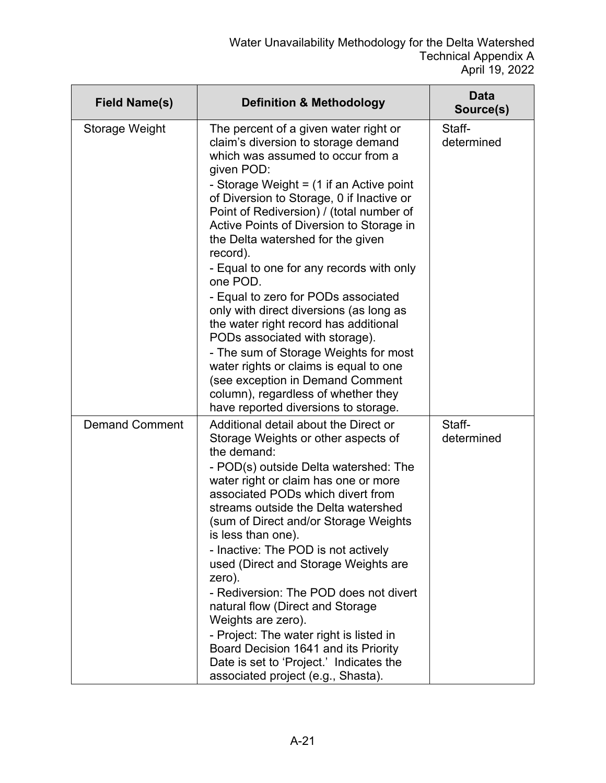| <b>Field Name(s)</b>  | <b>Definition &amp; Methodology</b>                                                                                                                                                                                                                                                                                                                                                                                                                                                                                                                                                                                                                                                                                                                                                          | <b>Data</b><br>Source(s) |
|-----------------------|----------------------------------------------------------------------------------------------------------------------------------------------------------------------------------------------------------------------------------------------------------------------------------------------------------------------------------------------------------------------------------------------------------------------------------------------------------------------------------------------------------------------------------------------------------------------------------------------------------------------------------------------------------------------------------------------------------------------------------------------------------------------------------------------|--------------------------|
| Storage Weight        | The percent of a given water right or<br>claim's diversion to storage demand<br>which was assumed to occur from a<br>given POD:<br>- Storage Weight = (1 if an Active point<br>of Diversion to Storage, 0 if Inactive or<br>Point of Rediversion) / (total number of<br>Active Points of Diversion to Storage in<br>the Delta watershed for the given<br>record).<br>- Equal to one for any records with only<br>one POD.<br>- Equal to zero for PODs associated<br>only with direct diversions (as long as<br>the water right record has additional<br>PODs associated with storage).<br>- The sum of Storage Weights for most<br>water rights or claims is equal to one<br>(see exception in Demand Comment<br>column), regardless of whether they<br>have reported diversions to storage. | Staff-<br>determined     |
| <b>Demand Comment</b> | Additional detail about the Direct or<br>Storage Weights or other aspects of<br>the demand:<br>- POD(s) outside Delta watershed: The<br>water right or claim has one or more<br>associated PODs which divert from<br>streams outside the Delta watershed<br>(sum of Direct and/or Storage Weights<br>is less than one).<br>- Inactive: The POD is not actively<br>used (Direct and Storage Weights are<br>zero).<br>- Rediversion: The POD does not divert<br>natural flow (Direct and Storage<br>Weights are zero).<br>- Project: The water right is listed in<br>Board Decision 1641 and its Priority<br>Date is set to 'Project.' Indicates the<br>associated project (e.g., Shasta).                                                                                                     | Staff-<br>determined     |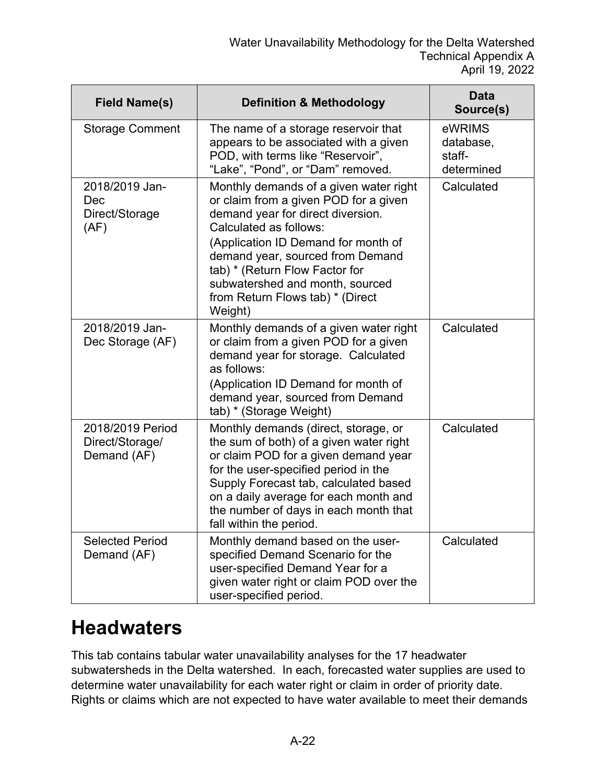| <b>Field Name(s)</b>                               | <b>Definition &amp; Methodology</b>                                                                                                                                                                                                                                                                                                           | <b>Data</b><br>Source(s)                    |
|----------------------------------------------------|-----------------------------------------------------------------------------------------------------------------------------------------------------------------------------------------------------------------------------------------------------------------------------------------------------------------------------------------------|---------------------------------------------|
| <b>Storage Comment</b>                             | The name of a storage reservoir that<br>appears to be associated with a given<br>POD, with terms like "Reservoir",<br>"Lake", "Pond", or "Dam" removed.                                                                                                                                                                                       | eWRIMS<br>database,<br>staff-<br>determined |
| 2018/2019 Jan-<br>Dec<br>Direct/Storage<br>(AF)    | Monthly demands of a given water right<br>or claim from a given POD for a given<br>demand year for direct diversion.<br>Calculated as follows:<br>(Application ID Demand for month of<br>demand year, sourced from Demand<br>tab) * (Return Flow Factor for<br>subwatershed and month, sourced<br>from Return Flows tab) * (Direct<br>Weight) | Calculated                                  |
| 2018/2019 Jan-<br>Dec Storage (AF)                 | Monthly demands of a given water right<br>or claim from a given POD for a given<br>demand year for storage. Calculated<br>as follows:<br>(Application ID Demand for month of<br>demand year, sourced from Demand<br>tab) * (Storage Weight)                                                                                                   | Calculated                                  |
| 2018/2019 Period<br>Direct/Storage/<br>Demand (AF) | Monthly demands (direct, storage, or<br>the sum of both) of a given water right<br>or claim POD for a given demand year<br>for the user-specified period in the<br>Supply Forecast tab, calculated based<br>on a daily average for each month and<br>the number of days in each month that<br>fall within the period.                         | Calculated                                  |
| <b>Selected Period</b><br>Demand (AF)              | Monthly demand based on the user-<br>specified Demand Scenario for the<br>user-specified Demand Year for a<br>given water right or claim POD over the<br>user-specified period.                                                                                                                                                               | Calculated                                  |

#### **Headwaters**

This tab contains tabular water unavailability analyses for the 17 headwater subwatersheds in the Delta watershed. In each, forecasted water supplies are used to determine water unavailability for each water right or claim in order of priority date. Rights or claims which are not expected to have water available to meet their demands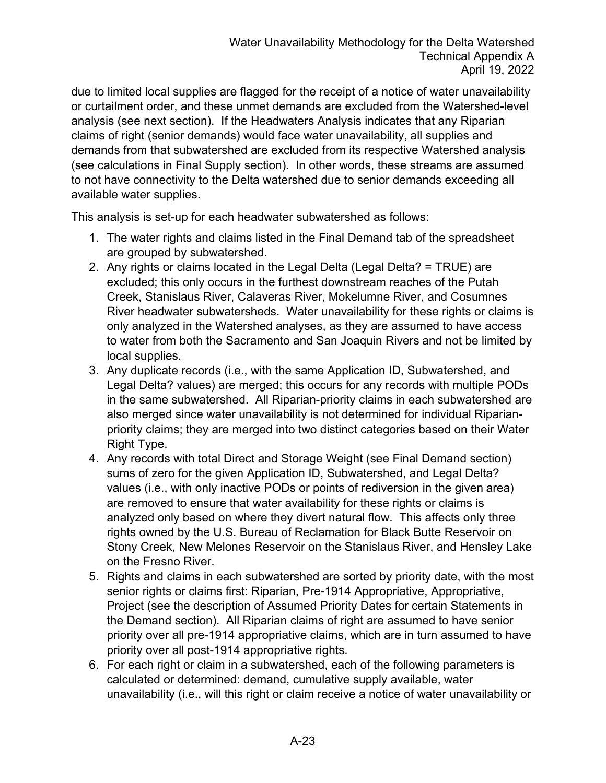due to limited local supplies are flagged for the receipt of a notice of water unavailability or curtailment order, and these unmet demands are excluded from the Watershed-level analysis (see next section). If the Headwaters Analysis indicates that any Riparian claims of right (senior demands) would face water unavailability, all supplies and demands from that subwatershed are excluded from its respective Watershed analysis (see calculations in Final Supply section). In other words, these streams are assumed to not have connectivity to the Delta watershed due to senior demands exceeding all available water supplies.

This analysis is set-up for each headwater subwatershed as follows:

- 1. The water rights and claims listed in the Final Demand tab of the spreadsheet are grouped by subwatershed.
- 2. Any rights or claims located in the Legal Delta (Legal Delta? = TRUE) are excluded; this only occurs in the furthest downstream reaches of the Putah Creek, Stanislaus River, Calaveras River, Mokelumne River, and Cosumnes River headwater subwatersheds. Water unavailability for these rights or claims is only analyzed in the Watershed analyses, as they are assumed to have access to water from both the Sacramento and San Joaquin Rivers and not be limited by local supplies.
- 3. Any duplicate records (i.e., with the same Application ID, Subwatershed, and Legal Delta? values) are merged; this occurs for any records with multiple PODs in the same subwatershed. All Riparian-priority claims in each subwatershed are also merged since water unavailability is not determined for individual Riparianpriority claims; they are merged into two distinct categories based on their Water Right Type.
- 4. Any records with total Direct and Storage Weight (see Final Demand section) sums of zero for the given Application ID, Subwatershed, and Legal Delta? values (i.e., with only inactive PODs or points of rediversion in the given area) are removed to ensure that water availability for these rights or claims is analyzed only based on where they divert natural flow. This affects only three rights owned by the U.S. Bureau of Reclamation for Black Butte Reservoir on Stony Creek, New Melones Reservoir on the Stanislaus River, and Hensley Lake on the Fresno River.
- 5. Rights and claims in each subwatershed are sorted by priority date, with the most senior rights or claims first: Riparian, Pre-1914 Appropriative, Appropriative, Project (see the description of Assumed Priority Dates for certain Statements in the Demand section). All Riparian claims of right are assumed to have senior priority over all pre-1914 appropriative claims, which are in turn assumed to have priority over all post-1914 appropriative rights.
- 6. For each right or claim in a subwatershed, each of the following parameters is calculated or determined: demand, cumulative supply available, water unavailability (i.e., will this right or claim receive a notice of water unavailability or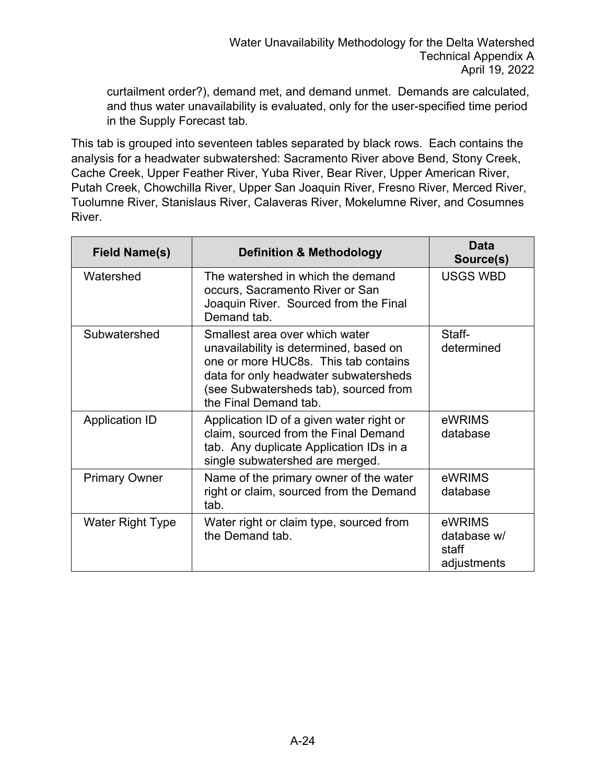curtailment order?), demand met, and demand unmet. Demands are calculated, and thus water unavailability is evaluated, only for the user-specified time period in the Supply Forecast tab.

This tab is grouped into seventeen tables separated by black rows. Each contains the analysis for a headwater subwatershed: Sacramento River above Bend, Stony Creek, Cache Creek, Upper Feather River, Yuba River, Bear River, Upper American River, Putah Creek, Chowchilla River, Upper San Joaquin River, Fresno River, Merced River, Tuolumne River, Stanislaus River, Calaveras River, Mokelumne River, and Cosumnes River.

| <b>Field Name(s)</b>    | <b>Definition &amp; Methodology</b>                                                                                                                                                                                         | Data<br>Source(s)                             |
|-------------------------|-----------------------------------------------------------------------------------------------------------------------------------------------------------------------------------------------------------------------------|-----------------------------------------------|
| Watershed               | The watershed in which the demand<br>occurs, Sacramento River or San<br>Joaquin River. Sourced from the Final<br>Demand tab.                                                                                                | <b>USGS WBD</b>                               |
| Subwatershed            | Smallest area over which water<br>unavailability is determined, based on<br>one or more HUC8s. This tab contains<br>data for only headwater subwatersheds<br>(see Subwatersheds tab), sourced from<br>the Final Demand tab. | Staff-<br>determined                          |
| <b>Application ID</b>   | Application ID of a given water right or<br>claim, sourced from the Final Demand<br>tab. Any duplicate Application IDs in a<br>single subwatershed are merged.                                                              | eWRIMS<br>database                            |
| <b>Primary Owner</b>    | Name of the primary owner of the water<br>right or claim, sourced from the Demand<br>tab.                                                                                                                                   | eWRIMS<br>database                            |
| <b>Water Right Type</b> | Water right or claim type, sourced from<br>the Demand tab.                                                                                                                                                                  | eWRIMS<br>database w/<br>staff<br>adjustments |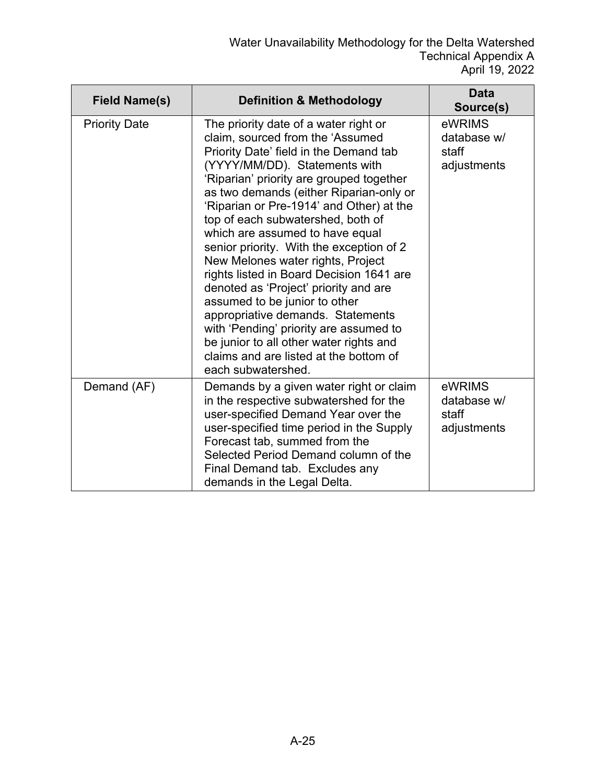| <b>Field Name(s)</b> | <b>Definition &amp; Methodology</b>                                                                                                                                                                                                                                                                                                                                                                                                                                                                                                                                                                                                                                                                                                                              | <b>Data</b><br>Source(s)                      |
|----------------------|------------------------------------------------------------------------------------------------------------------------------------------------------------------------------------------------------------------------------------------------------------------------------------------------------------------------------------------------------------------------------------------------------------------------------------------------------------------------------------------------------------------------------------------------------------------------------------------------------------------------------------------------------------------------------------------------------------------------------------------------------------------|-----------------------------------------------|
| <b>Priority Date</b> | The priority date of a water right or<br>claim, sourced from the 'Assumed<br>Priority Date' field in the Demand tab<br>(YYYY/MM/DD). Statements with<br>'Riparian' priority are grouped together<br>as two demands (either Riparian-only or<br>'Riparian or Pre-1914' and Other) at the<br>top of each subwatershed, both of<br>which are assumed to have equal<br>senior priority. With the exception of 2<br>New Melones water rights, Project<br>rights listed in Board Decision 1641 are<br>denoted as 'Project' priority and are<br>assumed to be junior to other<br>appropriative demands. Statements<br>with 'Pending' priority are assumed to<br>be junior to all other water rights and<br>claims and are listed at the bottom of<br>each subwatershed. | eWRIMS<br>database w/<br>staff<br>adjustments |
| Demand (AF)          | Demands by a given water right or claim<br>in the respective subwatershed for the<br>user-specified Demand Year over the<br>user-specified time period in the Supply<br>Forecast tab, summed from the<br>Selected Period Demand column of the<br>Final Demand tab. Excludes any<br>demands in the Legal Delta.                                                                                                                                                                                                                                                                                                                                                                                                                                                   | eWRIMS<br>database w/<br>staff<br>adjustments |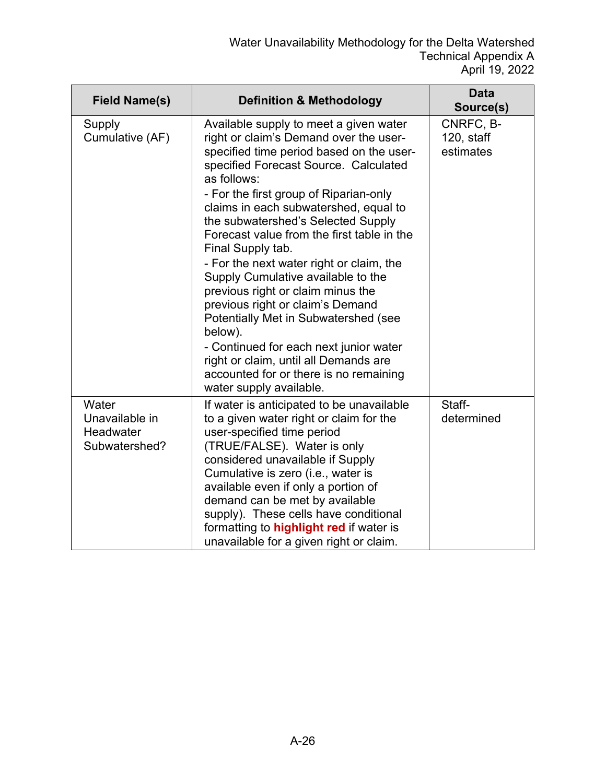| <b>Field Name(s)</b>                                  | <b>Definition &amp; Methodology</b>                                                                                                                                                                                                                                                                                                                                                                                                                                                                                                                                                                                                                                                                                                                    | <b>Data</b><br>Source(s)             |
|-------------------------------------------------------|--------------------------------------------------------------------------------------------------------------------------------------------------------------------------------------------------------------------------------------------------------------------------------------------------------------------------------------------------------------------------------------------------------------------------------------------------------------------------------------------------------------------------------------------------------------------------------------------------------------------------------------------------------------------------------------------------------------------------------------------------------|--------------------------------------|
| Supply<br>Cumulative (AF)                             | Available supply to meet a given water<br>right or claim's Demand over the user-<br>specified time period based on the user-<br>specified Forecast Source. Calculated<br>as follows:<br>- For the first group of Riparian-only<br>claims in each subwatershed, equal to<br>the subwatershed's Selected Supply<br>Forecast value from the first table in the<br>Final Supply tab.<br>- For the next water right or claim, the<br>Supply Cumulative available to the<br>previous right or claim minus the<br>previous right or claim's Demand<br>Potentially Met in Subwatershed (see<br>below).<br>- Continued for each next junior water<br>right or claim, until all Demands are<br>accounted for or there is no remaining<br>water supply available. | CNRFC, B-<br>120, staff<br>estimates |
| Water<br>Unavailable in<br>Headwater<br>Subwatershed? | If water is anticipated to be unavailable<br>to a given water right or claim for the<br>user-specified time period<br>(TRUE/FALSE). Water is only<br>considered unavailable if Supply<br>Cumulative is zero (i.e., water is<br>available even if only a portion of<br>demand can be met by available<br>supply). These cells have conditional<br>formatting to <b>highlight red</b> if water is<br>unavailable for a given right or claim.                                                                                                                                                                                                                                                                                                             | Staff-<br>determined                 |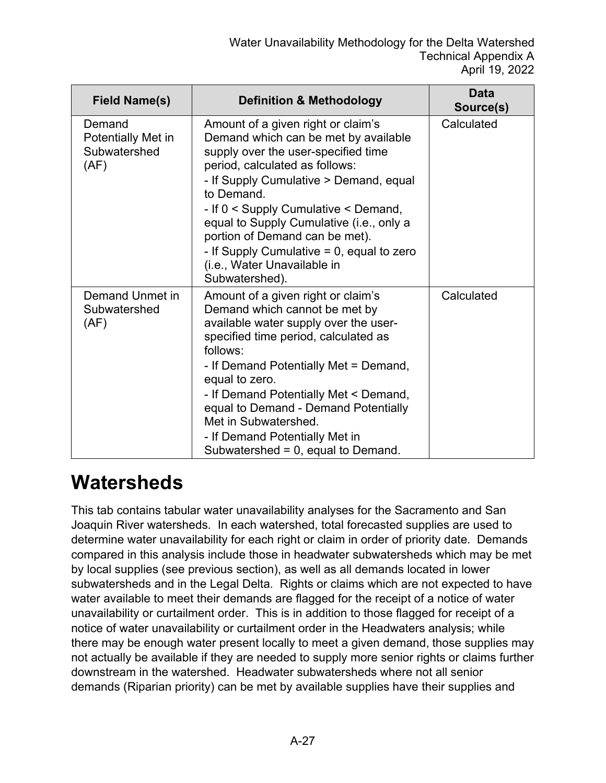| <b>Field Name(s)</b>                                 | <b>Definition &amp; Methodology</b>                                                                                                                                                                                                                                                                                                                                                                                                | Data<br>Source(s) |
|------------------------------------------------------|------------------------------------------------------------------------------------------------------------------------------------------------------------------------------------------------------------------------------------------------------------------------------------------------------------------------------------------------------------------------------------------------------------------------------------|-------------------|
| Demand<br>Potentially Met in<br>Subwatershed<br>(AF) | Amount of a given right or claim's<br>Demand which can be met by available<br>supply over the user-specified time<br>period, calculated as follows:<br>- If Supply Cumulative > Demand, equal<br>to Demand.<br>- If 0 < Supply Cumulative < Demand,<br>equal to Supply Cumulative (i.e., only a<br>portion of Demand can be met).<br>- If Supply Cumulative $= 0$ , equal to zero<br>(i.e., Water Unavailable in<br>Subwatershed). | Calculated        |
| Demand Unmet in<br>Subwatershed<br>(AF)              | Amount of a given right or claim's<br>Demand which cannot be met by<br>available water supply over the user-<br>specified time period, calculated as<br>follows:<br>- If Demand Potentially Met = Demand,<br>equal to zero.<br>- If Demand Potentially Met < Demand,<br>equal to Demand - Demand Potentially<br>Met in Subwatershed.<br>- If Demand Potentially Met in<br>Subwatershed = 0, equal to Demand.                       | Calculated        |

#### **Watersheds**

This tab contains tabular water unavailability analyses for the Sacramento and San Joaquin River watersheds. In each watershed, total forecasted supplies are used to determine water unavailability for each right or claim in order of priority date. Demands compared in this analysis include those in headwater subwatersheds which may be met by local supplies (see previous section), as well as all demands located in lower subwatersheds and in the Legal Delta. Rights or claims which are not expected to have water available to meet their demands are flagged for the receipt of a notice of water unavailability or curtailment order. This is in addition to those flagged for receipt of a notice of water unavailability or curtailment order in the Headwaters analysis; while there may be enough water present locally to meet a given demand, those supplies may not actually be available if they are needed to supply more senior rights or claims further downstream in the watershed. Headwater subwatersheds where not all senior demands (Riparian priority) can be met by available supplies have their supplies and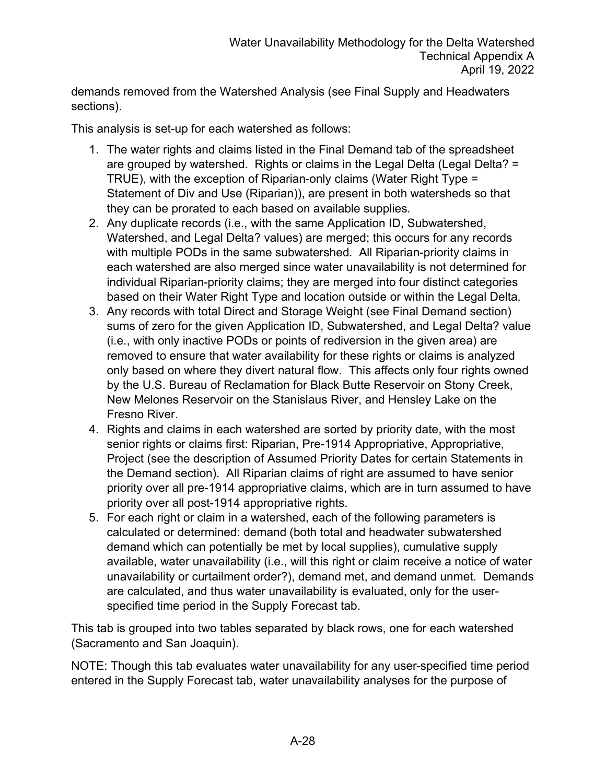demands removed from the Watershed Analysis (see Final Supply and Headwaters sections).

This analysis is set-up for each watershed as follows:

- 1. The water rights and claims listed in the Final Demand tab of the spreadsheet are grouped by watershed. Rights or claims in the Legal Delta (Legal Delta? = TRUE), with the exception of Riparian-only claims (Water Right Type = Statement of Div and Use (Riparian)), are present in both watersheds so that they can be prorated to each based on available supplies.
- 2. Any duplicate records (i.e., with the same Application ID, Subwatershed, Watershed, and Legal Delta? values) are merged; this occurs for any records with multiple PODs in the same subwatershed. All Riparian-priority claims in each watershed are also merged since water unavailability is not determined for individual Riparian-priority claims; they are merged into four distinct categories based on their Water Right Type and location outside or within the Legal Delta.
- 3. Any records with total Direct and Storage Weight (see Final Demand section) sums of zero for the given Application ID, Subwatershed, and Legal Delta? value (i.e., with only inactive PODs or points of rediversion in the given area) are removed to ensure that water availability for these rights or claims is analyzed only based on where they divert natural flow. This affects only four rights owned by the U.S. Bureau of Reclamation for Black Butte Reservoir on Stony Creek, New Melones Reservoir on the Stanislaus River, and Hensley Lake on the Fresno River.
- 4. Rights and claims in each watershed are sorted by priority date, with the most senior rights or claims first: Riparian, Pre-1914 Appropriative, Appropriative, Project (see the description of Assumed Priority Dates for certain Statements in the Demand section). All Riparian claims of right are assumed to have senior priority over all pre-1914 appropriative claims, which are in turn assumed to have priority over all post-1914 appropriative rights.
- 5. For each right or claim in a watershed, each of the following parameters is calculated or determined: demand (both total and headwater subwatershed demand which can potentially be met by local supplies), cumulative supply available, water unavailability (i.e., will this right or claim receive a notice of water unavailability or curtailment order?), demand met, and demand unmet. Demands are calculated, and thus water unavailability is evaluated, only for the userspecified time period in the Supply Forecast tab.

This tab is grouped into two tables separated by black rows, one for each watershed (Sacramento and San Joaquin).

NOTE: Though this tab evaluates water unavailability for any user-specified time period entered in the Supply Forecast tab, water unavailability analyses for the purpose of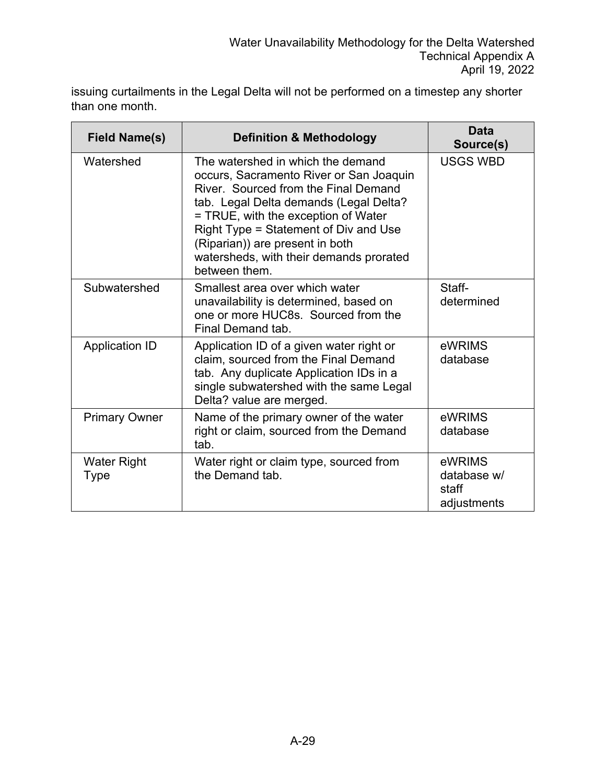issuing curtailments in the Legal Delta will not be performed on a timestep any shorter than one month.

| <b>Field Name(s)</b>              | <b>Definition &amp; Methodology</b>                                                                                                                                                                                                                                                                                                           | <b>Data</b><br>Source(s)                      |
|-----------------------------------|-----------------------------------------------------------------------------------------------------------------------------------------------------------------------------------------------------------------------------------------------------------------------------------------------------------------------------------------------|-----------------------------------------------|
| Watershed                         | The watershed in which the demand<br>occurs, Sacramento River or San Joaquin<br>River. Sourced from the Final Demand<br>tab. Legal Delta demands (Legal Delta?<br>= TRUE, with the exception of Water<br>Right Type = Statement of Div and Use<br>(Riparian)) are present in both<br>watersheds, with their demands prorated<br>between them. | <b>USGS WBD</b>                               |
| Subwatershed                      | Smallest area over which water<br>unavailability is determined, based on<br>one or more HUC8s. Sourced from the<br>Final Demand tab.                                                                                                                                                                                                          | Staff-<br>determined                          |
| <b>Application ID</b>             | Application ID of a given water right or<br>claim, sourced from the Final Demand<br>tab. Any duplicate Application IDs in a<br>single subwatershed with the same Legal<br>Delta? value are merged.                                                                                                                                            | eWRIMS<br>database                            |
| <b>Primary Owner</b>              | Name of the primary owner of the water<br>right or claim, sourced from the Demand<br>tab.                                                                                                                                                                                                                                                     | eWRIMS<br>database                            |
| <b>Water Right</b><br><b>Type</b> | Water right or claim type, sourced from<br>the Demand tab.                                                                                                                                                                                                                                                                                    | eWRIMS<br>database w/<br>staff<br>adjustments |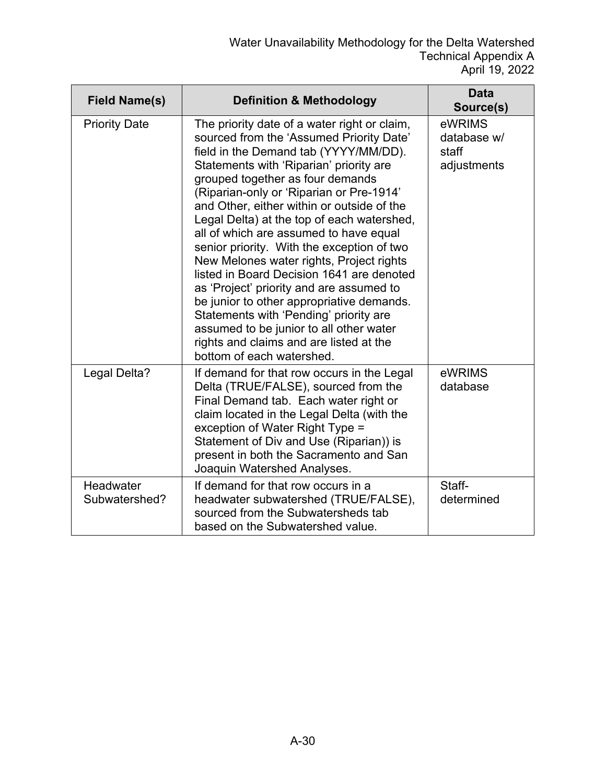| <b>Field Name(s)</b>       | <b>Definition &amp; Methodology</b>                                                                                                                                                                                                                                                                                                                                                                                                                                                                                                                                                                                                                                                                                                                                                             | <b>Data</b><br>Source(s)                      |
|----------------------------|-------------------------------------------------------------------------------------------------------------------------------------------------------------------------------------------------------------------------------------------------------------------------------------------------------------------------------------------------------------------------------------------------------------------------------------------------------------------------------------------------------------------------------------------------------------------------------------------------------------------------------------------------------------------------------------------------------------------------------------------------------------------------------------------------|-----------------------------------------------|
| <b>Priority Date</b>       | The priority date of a water right or claim,<br>sourced from the 'Assumed Priority Date'<br>field in the Demand tab (YYYY/MM/DD).<br>Statements with 'Riparian' priority are<br>grouped together as four demands<br>(Riparian-only or 'Riparian or Pre-1914'<br>and Other, either within or outside of the<br>Legal Delta) at the top of each watershed,<br>all of which are assumed to have equal<br>senior priority. With the exception of two<br>New Melones water rights, Project rights<br>listed in Board Decision 1641 are denoted<br>as 'Project' priority and are assumed to<br>be junior to other appropriative demands.<br>Statements with 'Pending' priority are<br>assumed to be junior to all other water<br>rights and claims and are listed at the<br>bottom of each watershed. | eWRIMS<br>database w/<br>staff<br>adjustments |
| Legal Delta?               | If demand for that row occurs in the Legal<br>Delta (TRUE/FALSE), sourced from the<br>Final Demand tab. Each water right or<br>claim located in the Legal Delta (with the<br>exception of Water Right Type =<br>Statement of Div and Use (Riparian)) is<br>present in both the Sacramento and San<br>Joaquin Watershed Analyses.                                                                                                                                                                                                                                                                                                                                                                                                                                                                | eWRIMS<br>database                            |
| Headwater<br>Subwatershed? | If demand for that row occurs in a<br>headwater subwatershed (TRUE/FALSE),<br>sourced from the Subwatersheds tab<br>based on the Subwatershed value.                                                                                                                                                                                                                                                                                                                                                                                                                                                                                                                                                                                                                                            | Staff-<br>determined                          |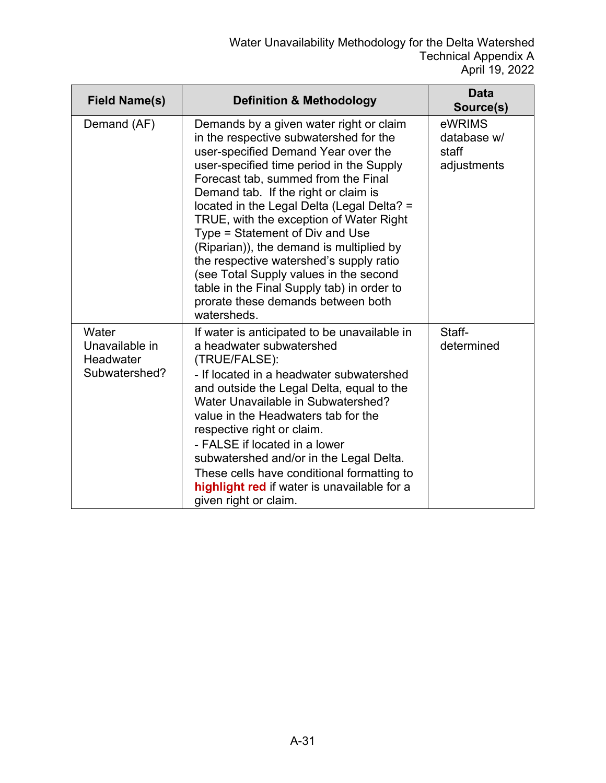| <b>Field Name(s)</b>                                  | <b>Definition &amp; Methodology</b>                                                                                                                                                                                                                                                                                                                                                                                                                                                                                                                                                                                 | Data<br>Source(s)                             |
|-------------------------------------------------------|---------------------------------------------------------------------------------------------------------------------------------------------------------------------------------------------------------------------------------------------------------------------------------------------------------------------------------------------------------------------------------------------------------------------------------------------------------------------------------------------------------------------------------------------------------------------------------------------------------------------|-----------------------------------------------|
| Demand (AF)                                           | Demands by a given water right or claim<br>in the respective subwatershed for the<br>user-specified Demand Year over the<br>user-specified time period in the Supply<br>Forecast tab, summed from the Final<br>Demand tab. If the right or claim is<br>located in the Legal Delta (Legal Delta? =<br>TRUE, with the exception of Water Right<br>Type = Statement of Div and Use<br>(Riparian)), the demand is multiplied by<br>the respective watershed's supply ratio<br>(see Total Supply values in the second<br>table in the Final Supply tab) in order to<br>prorate these demands between both<br>watersheds. | eWRIMS<br>database w/<br>staff<br>adjustments |
| Water<br>Unavailable in<br>Headwater<br>Subwatershed? | If water is anticipated to be unavailable in<br>a headwater subwatershed<br>(TRUE/FALSE):<br>- If located in a headwater subwatershed<br>and outside the Legal Delta, equal to the<br>Water Unavailable in Subwatershed?<br>value in the Headwaters tab for the<br>respective right or claim.<br>- FALSE if located in a lower<br>subwatershed and/or in the Legal Delta.<br>These cells have conditional formatting to<br>highlight red if water is unavailable for a<br>given right or claim.                                                                                                                     | Staff-<br>determined                          |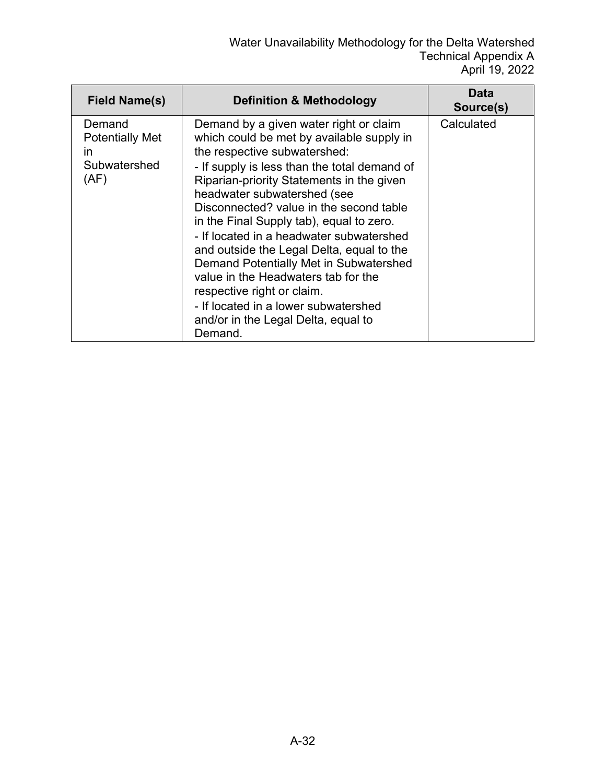| <b>Field Name(s)</b>                                           | <b>Definition &amp; Methodology</b>                                                                                                                                                                                                                                                                                                                                                                                                                                                                                                                                                                                                      | Data<br>Source(s) |
|----------------------------------------------------------------|------------------------------------------------------------------------------------------------------------------------------------------------------------------------------------------------------------------------------------------------------------------------------------------------------------------------------------------------------------------------------------------------------------------------------------------------------------------------------------------------------------------------------------------------------------------------------------------------------------------------------------------|-------------------|
| Demand<br><b>Potentially Met</b><br>in<br>Subwatershed<br>(AF) | Demand by a given water right or claim<br>which could be met by available supply in<br>the respective subwatershed:<br>- If supply is less than the total demand of<br>Riparian-priority Statements in the given<br>headwater subwatershed (see<br>Disconnected? value in the second table<br>in the Final Supply tab), equal to zero.<br>- If located in a headwater subwatershed<br>and outside the Legal Delta, equal to the<br>Demand Potentially Met in Subwatershed<br>value in the Headwaters tab for the<br>respective right or claim.<br>- If located in a lower subwatershed<br>and/or in the Legal Delta, equal to<br>Demand. | Calculated        |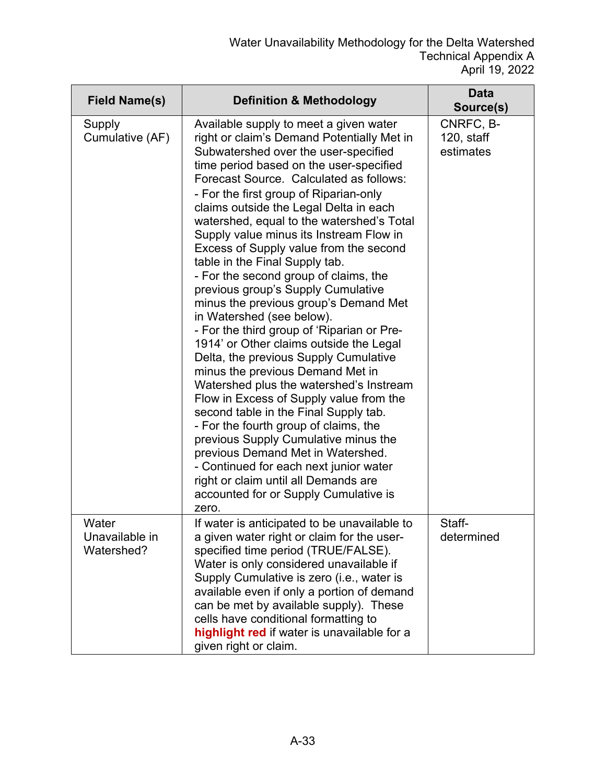| <b>Field Name(s)</b>                  | <b>Definition &amp; Methodology</b>                                                                                                                                                                                                                                                                                                                                                                                                                                                                                                                                                                                                                                                                                                                                                                                                                                                                                                                                                                                                                                                                                                                                                            | <b>Data</b><br>Source(s)             |
|---------------------------------------|------------------------------------------------------------------------------------------------------------------------------------------------------------------------------------------------------------------------------------------------------------------------------------------------------------------------------------------------------------------------------------------------------------------------------------------------------------------------------------------------------------------------------------------------------------------------------------------------------------------------------------------------------------------------------------------------------------------------------------------------------------------------------------------------------------------------------------------------------------------------------------------------------------------------------------------------------------------------------------------------------------------------------------------------------------------------------------------------------------------------------------------------------------------------------------------------|--------------------------------------|
| Supply<br>Cumulative (AF)             | Available supply to meet a given water<br>right or claim's Demand Potentially Met in<br>Subwatershed over the user-specified<br>time period based on the user-specified<br>Forecast Source. Calculated as follows:<br>- For the first group of Riparian-only<br>claims outside the Legal Delta in each<br>watershed, equal to the watershed's Total<br>Supply value minus its Instream Flow in<br>Excess of Supply value from the second<br>table in the Final Supply tab.<br>- For the second group of claims, the<br>previous group's Supply Cumulative<br>minus the previous group's Demand Met<br>in Watershed (see below).<br>- For the third group of 'Riparian or Pre-<br>1914' or Other claims outside the Legal<br>Delta, the previous Supply Cumulative<br>minus the previous Demand Met in<br>Watershed plus the watershed's Instream<br>Flow in Excess of Supply value from the<br>second table in the Final Supply tab.<br>- For the fourth group of claims, the<br>previous Supply Cumulative minus the<br>previous Demand Met in Watershed.<br>- Continued for each next junior water<br>right or claim until all Demands are<br>accounted for or Supply Cumulative is<br>zero. | CNRFC, B-<br>120, staff<br>estimates |
| Water<br>Unavailable in<br>Watershed? | If water is anticipated to be unavailable to<br>a given water right or claim for the user-<br>specified time period (TRUE/FALSE).<br>Water is only considered unavailable if<br>Supply Cumulative is zero (i.e., water is<br>available even if only a portion of demand<br>can be met by available supply). These<br>cells have conditional formatting to<br>highlight red if water is unavailable for a<br>given right or claim.                                                                                                                                                                                                                                                                                                                                                                                                                                                                                                                                                                                                                                                                                                                                                              | Staff-<br>determined                 |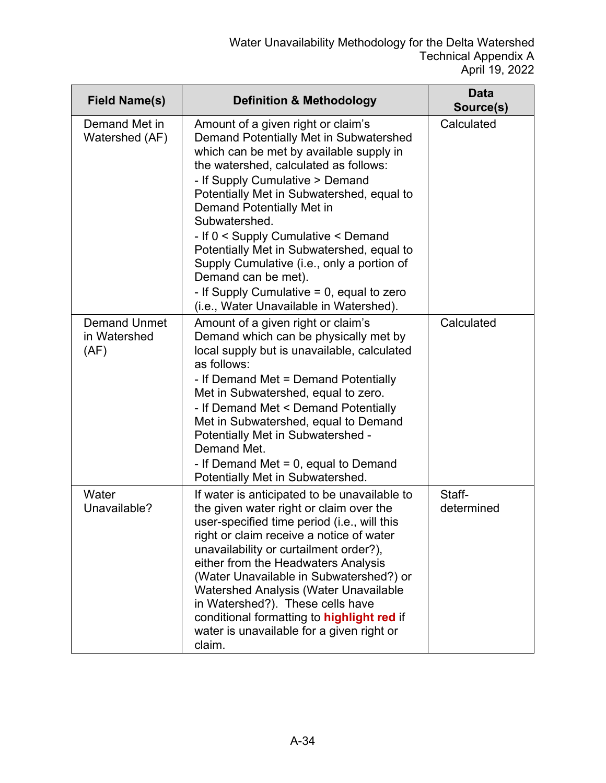| <b>Field Name(s)</b>                        | <b>Definition &amp; Methodology</b>                                                                                                                                                                                                                                                                                                                                                                                                                                                              | <b>Data</b><br>Source(s) |
|---------------------------------------------|--------------------------------------------------------------------------------------------------------------------------------------------------------------------------------------------------------------------------------------------------------------------------------------------------------------------------------------------------------------------------------------------------------------------------------------------------------------------------------------------------|--------------------------|
| Demand Met in<br>Watershed (AF)             | Amount of a given right or claim's<br>Demand Potentially Met in Subwatershed<br>which can be met by available supply in<br>the watershed, calculated as follows:<br>- If Supply Cumulative > Demand<br>Potentially Met in Subwatershed, equal to<br><b>Demand Potentially Met in</b><br>Subwatershed.<br>- If 0 < Supply Cumulative < Demand                                                                                                                                                     | Calculated               |
|                                             | Potentially Met in Subwatershed, equal to<br>Supply Cumulative (i.e., only a portion of<br>Demand can be met).<br>- If Supply Cumulative $= 0$ , equal to zero<br>(i.e., Water Unavailable in Watershed).                                                                                                                                                                                                                                                                                        |                          |
| <b>Demand Unmet</b><br>in Watershed<br>(AF) | Amount of a given right or claim's<br>Demand which can be physically met by<br>local supply but is unavailable, calculated<br>as follows:<br>- If Demand Met = Demand Potentially<br>Met in Subwatershed, equal to zero.<br>- If Demand Met < Demand Potentially<br>Met in Subwatershed, equal to Demand<br>Potentially Met in Subwatershed -<br>Demand Met.<br>- If Demand Met $= 0$ , equal to Demand<br>Potentially Met in Subwatershed.                                                      | Calculated               |
| Water<br>Unavailable?                       | If water is anticipated to be unavailable to<br>the given water right or claim over the<br>user-specified time period (i.e., will this<br>right or claim receive a notice of water<br>unavailability or curtailment order?),<br>either from the Headwaters Analysis<br>(Water Unavailable in Subwatershed?) or<br>Watershed Analysis (Water Unavailable<br>in Watershed?). These cells have<br>conditional formatting to highlight red if<br>water is unavailable for a given right or<br>claim. | Staff-<br>determined     |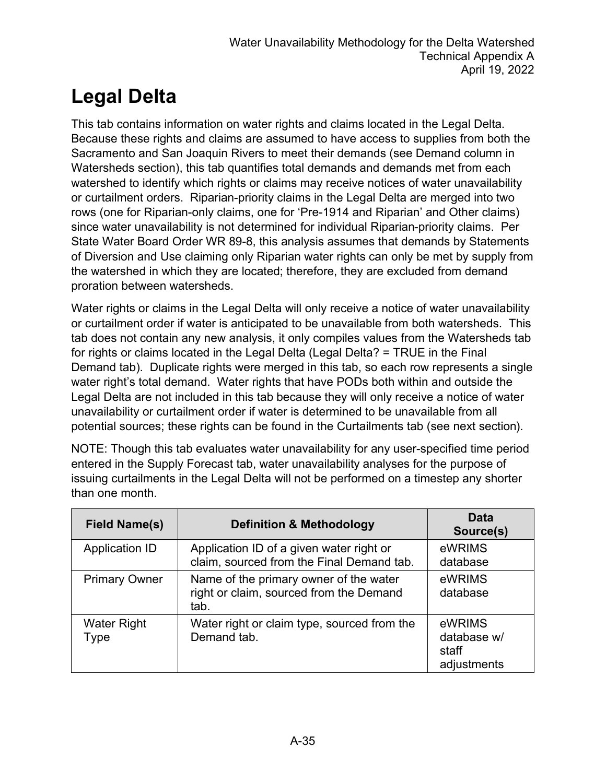## **Legal Delta**

This tab contains information on water rights and claims located in the Legal Delta. Because these rights and claims are assumed to have access to supplies from both the Sacramento and San Joaquin Rivers to meet their demands (see Demand column in Watersheds section), this tab quantifies total demands and demands met from each watershed to identify which rights or claims may receive notices of water unavailability or curtailment orders. Riparian-priority claims in the Legal Delta are merged into two rows (one for Riparian-only claims, one for 'Pre-1914 and Riparian' and Other claims) since water unavailability is not determined for individual Riparian-priority claims. Per State Water Board Order WR 89-8, this analysis assumes that demands by Statements of Diversion and Use claiming only Riparian water rights can only be met by supply from the watershed in which they are located; therefore, they are excluded from demand proration between watersheds.

Water rights or claims in the Legal Delta will only receive a notice of water unavailability or curtailment order if water is anticipated to be unavailable from both watersheds. This tab does not contain any new analysis, it only compiles values from the Watersheds tab for rights or claims located in the Legal Delta (Legal Delta? = TRUE in the Final Demand tab). Duplicate rights were merged in this tab, so each row represents a single water right's total demand. Water rights that have PODs both within and outside the Legal Delta are not included in this tab because they will only receive a notice of water unavailability or curtailment order if water is determined to be unavailable from all potential sources; these rights can be found in the Curtailments tab (see next section).

NOTE: Though this tab evaluates water unavailability for any user-specified time period entered in the Supply Forecast tab, water unavailability analyses for the purpose of issuing curtailments in the Legal Delta will not be performed on a timestep any shorter than one month.

| <b>Field Name(s)</b>       | <b>Definition &amp; Methodology</b>                                                       | <b>Data</b><br>Source(s)                      |
|----------------------------|-------------------------------------------------------------------------------------------|-----------------------------------------------|
| <b>Application ID</b>      | Application ID of a given water right or<br>claim, sourced from the Final Demand tab.     | eWRIMS<br>database                            |
| <b>Primary Owner</b>       | Name of the primary owner of the water<br>right or claim, sourced from the Demand<br>tab. | eWRIMS<br>database                            |
| <b>Water Right</b><br>Type | Water right or claim type, sourced from the<br>Demand tab.                                | eWRIMS<br>database w/<br>staff<br>adjustments |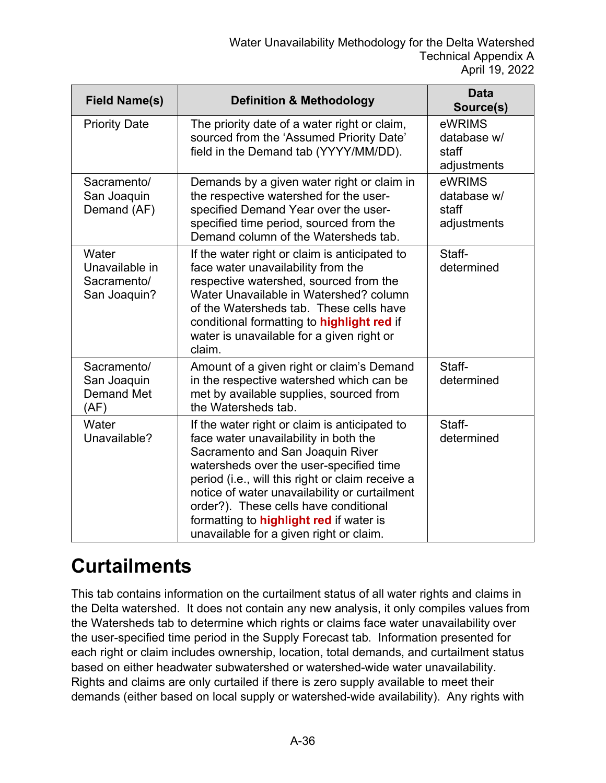| <b>Field Name(s)</b>                                    | <b>Definition &amp; Methodology</b>                                                                                                                                                                                                                                                                                                                                                                              | <b>Data</b><br>Source(s)                      |
|---------------------------------------------------------|------------------------------------------------------------------------------------------------------------------------------------------------------------------------------------------------------------------------------------------------------------------------------------------------------------------------------------------------------------------------------------------------------------------|-----------------------------------------------|
| <b>Priority Date</b>                                    | The priority date of a water right or claim,<br>sourced from the 'Assumed Priority Date'<br>field in the Demand tab (YYYY/MM/DD).                                                                                                                                                                                                                                                                                | eWRIMS<br>database w/<br>staff<br>adjustments |
| Sacramento/<br>San Joaquin<br>Demand (AF)               | Demands by a given water right or claim in<br>the respective watershed for the user-<br>specified Demand Year over the user-<br>specified time period, sourced from the<br>Demand column of the Watersheds tab.                                                                                                                                                                                                  | eWRIMS<br>database w/<br>staff<br>adjustments |
| Water<br>Unavailable in<br>Sacramento/<br>San Joaquin?  | If the water right or claim is anticipated to<br>face water unavailability from the<br>respective watershed, sourced from the<br>Water Unavailable in Watershed? column<br>of the Watersheds tab. These cells have<br>conditional formatting to highlight red if<br>water is unavailable for a given right or<br>claim.                                                                                          | Staff-<br>determined                          |
| Sacramento/<br>San Joaquin<br><b>Demand Met</b><br>(AF) | Amount of a given right or claim's Demand<br>in the respective watershed which can be<br>met by available supplies, sourced from<br>the Watersheds tab.                                                                                                                                                                                                                                                          | Staff-<br>determined                          |
| Water<br>Unavailable?                                   | If the water right or claim is anticipated to<br>face water unavailability in both the<br>Sacramento and San Joaquin River<br>watersheds over the user-specified time<br>period (i.e., will this right or claim receive a<br>notice of water unavailability or curtailment<br>order?). These cells have conditional<br>formatting to <b>highlight red</b> if water is<br>unavailable for a given right or claim. | Staff-<br>determined                          |

#### **Curtailments**

This tab contains information on the curtailment status of all water rights and claims in the Delta watershed. It does not contain any new analysis, it only compiles values from the Watersheds tab to determine which rights or claims face water unavailability over the user-specified time period in the Supply Forecast tab. Information presented for each right or claim includes ownership, location, total demands, and curtailment status based on either headwater subwatershed or watershed-wide water unavailability. Rights and claims are only curtailed if there is zero supply available to meet their demands (either based on local supply or watershed-wide availability). Any rights with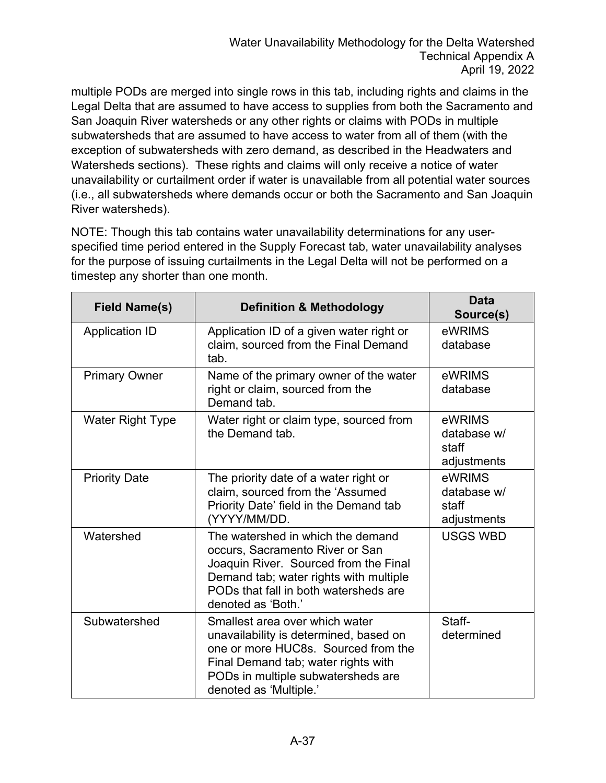multiple PODs are merged into single rows in this tab, including rights and claims in the Legal Delta that are assumed to have access to supplies from both the Sacramento and San Joaquin River watersheds or any other rights or claims with PODs in multiple subwatersheds that are assumed to have access to water from all of them (with the exception of subwatersheds with zero demand, as described in the Headwaters and Watersheds sections). These rights and claims will only receive a notice of water unavailability or curtailment order if water is unavailable from all potential water sources (i.e., all subwatersheds where demands occur or both the Sacramento and San Joaquin River watersheds).

NOTE: Though this tab contains water unavailability determinations for any userspecified time period entered in the Supply Forecast tab, water unavailability analyses for the purpose of issuing curtailments in the Legal Delta will not be performed on a timestep any shorter than one month.

| <b>Field Name(s)</b>    | <b>Definition &amp; Methodology</b>                                                                                                                                                                                    | <b>Data</b><br>Source(s)                      |
|-------------------------|------------------------------------------------------------------------------------------------------------------------------------------------------------------------------------------------------------------------|-----------------------------------------------|
| <b>Application ID</b>   | Application ID of a given water right or<br>claim, sourced from the Final Demand<br>tab.                                                                                                                               | eWRIMS<br>database                            |
| <b>Primary Owner</b>    | Name of the primary owner of the water<br>right or claim, sourced from the<br>Demand tab.                                                                                                                              | eWRIMS<br>database                            |
| <b>Water Right Type</b> | Water right or claim type, sourced from<br>the Demand tab.                                                                                                                                                             | eWRIMS<br>database w/<br>staff<br>adjustments |
| <b>Priority Date</b>    | The priority date of a water right or<br>claim, sourced from the 'Assumed<br>Priority Date' field in the Demand tab<br>(YYYY/MM/DD.                                                                                    | eWRIMS<br>database w/<br>staff<br>adjustments |
| Watershed               | The watershed in which the demand<br>occurs, Sacramento River or San<br>Joaquin River. Sourced from the Final<br>Demand tab; water rights with multiple<br>PODs that fall in both watersheds are<br>denoted as 'Both.' | <b>USGS WBD</b>                               |
| Subwatershed            | Smallest area over which water<br>unavailability is determined, based on<br>one or more HUC8s. Sourced from the<br>Final Demand tab; water rights with<br>PODs in multiple subwatersheds are<br>denoted as 'Multiple.' | Staff-<br>determined                          |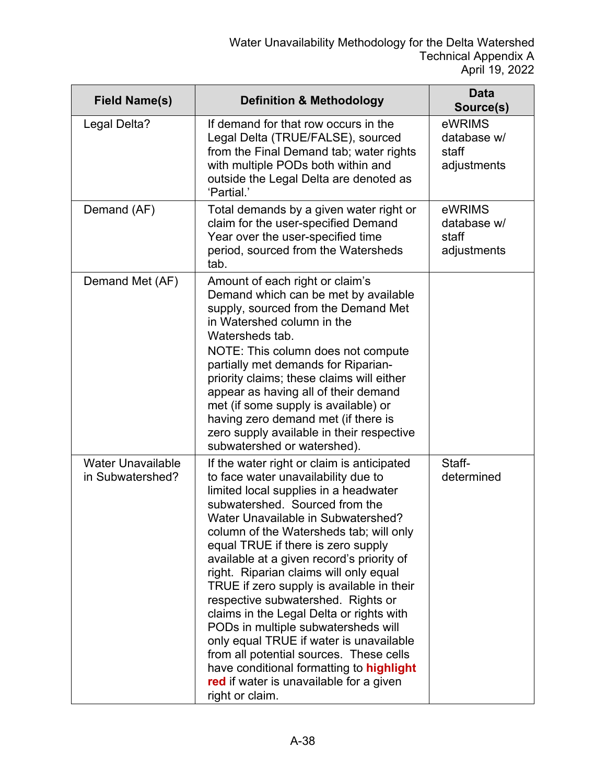| <b>Field Name(s)</b>                         | <b>Definition &amp; Methodology</b>                                                                                                                                                                                                                                                                                                                                                                                                                                                                                                                                                                                                                                                                                                              | <b>Data</b><br>Source(s)                      |
|----------------------------------------------|--------------------------------------------------------------------------------------------------------------------------------------------------------------------------------------------------------------------------------------------------------------------------------------------------------------------------------------------------------------------------------------------------------------------------------------------------------------------------------------------------------------------------------------------------------------------------------------------------------------------------------------------------------------------------------------------------------------------------------------------------|-----------------------------------------------|
| Legal Delta?                                 | If demand for that row occurs in the<br>Legal Delta (TRUE/FALSE), sourced<br>from the Final Demand tab; water rights<br>with multiple PODs both within and<br>outside the Legal Delta are denoted as<br>'Partial.'                                                                                                                                                                                                                                                                                                                                                                                                                                                                                                                               | eWRIMS<br>database w/<br>staff<br>adjustments |
| Demand (AF)                                  | Total demands by a given water right or<br>claim for the user-specified Demand<br>Year over the user-specified time<br>period, sourced from the Watersheds<br>tab.                                                                                                                                                                                                                                                                                                                                                                                                                                                                                                                                                                               | eWRIMS<br>database w/<br>staff<br>adjustments |
| Demand Met (AF)                              | Amount of each right or claim's<br>Demand which can be met by available<br>supply, sourced from the Demand Met<br>in Watershed column in the<br>Watersheds tab.<br>NOTE: This column does not compute<br>partially met demands for Riparian-<br>priority claims; these claims will either<br>appear as having all of their demand<br>met (if some supply is available) or<br>having zero demand met (if there is<br>zero supply available in their respective<br>subwatershed or watershed).                                                                                                                                                                                                                                                     |                                               |
| <b>Water Unavailable</b><br>in Subwatershed? | If the water right or claim is anticipated<br>to face water unavailability due to<br>limited local supplies in a headwater<br>subwatershed. Sourced from the<br>Water Unavailable in Subwatershed?<br>column of the Watersheds tab; will only<br>equal TRUE if there is zero supply<br>available at a given record's priority of<br>right. Riparian claims will only equal<br>TRUE if zero supply is available in their<br>respective subwatershed. Rights or<br>claims in the Legal Delta or rights with<br>PODs in multiple subwatersheds will<br>only equal TRUE if water is unavailable<br>from all potential sources. These cells<br>have conditional formatting to highlight<br>red if water is unavailable for a given<br>right or claim. | Staff-<br>determined                          |